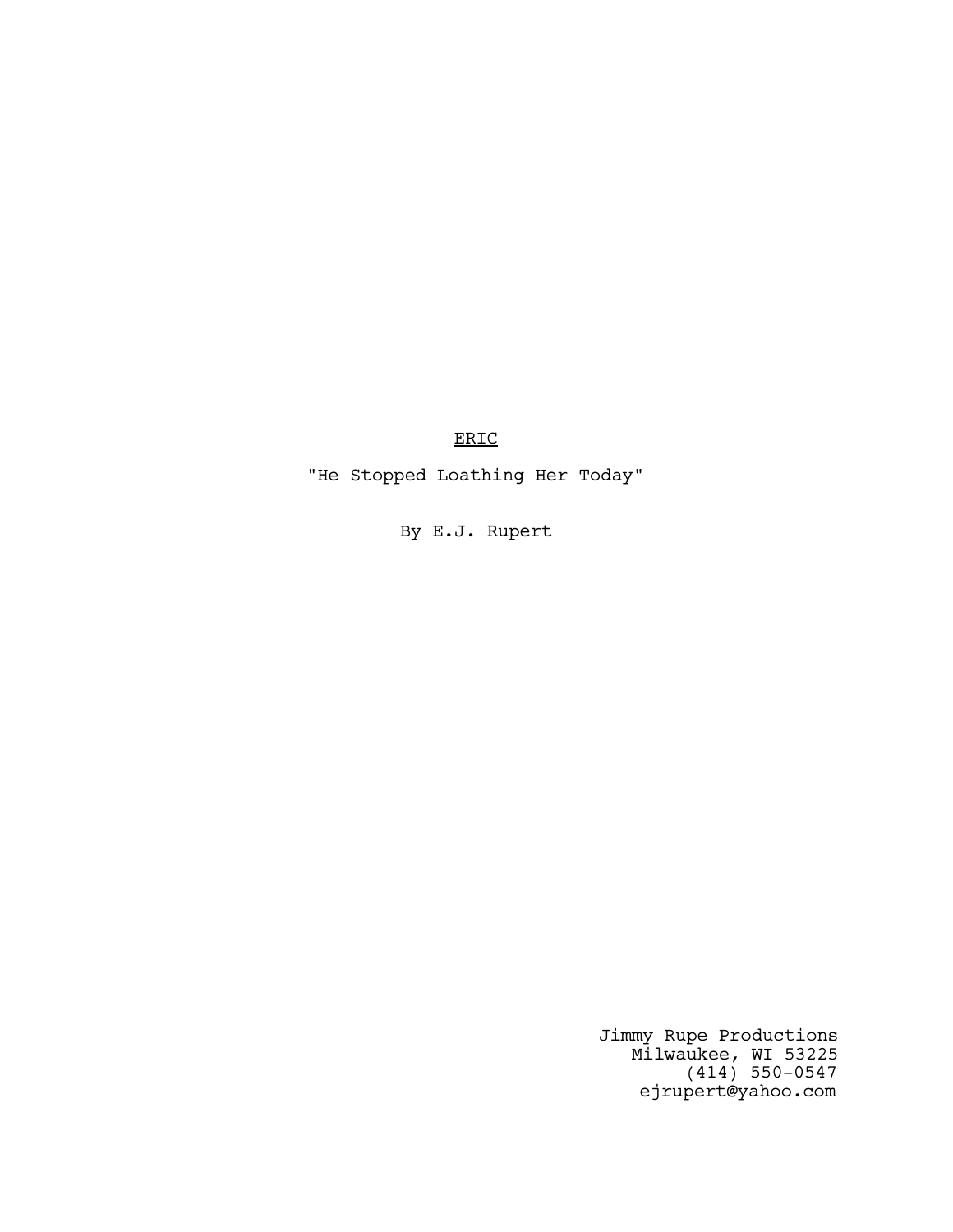ERIC

"He Stopped Loathing Her Today"

By E.J. Rupert

Jimmy Rupe Productions Milwaukee, WI 53225 (414) 550-0547 ejrupert@yahoo.com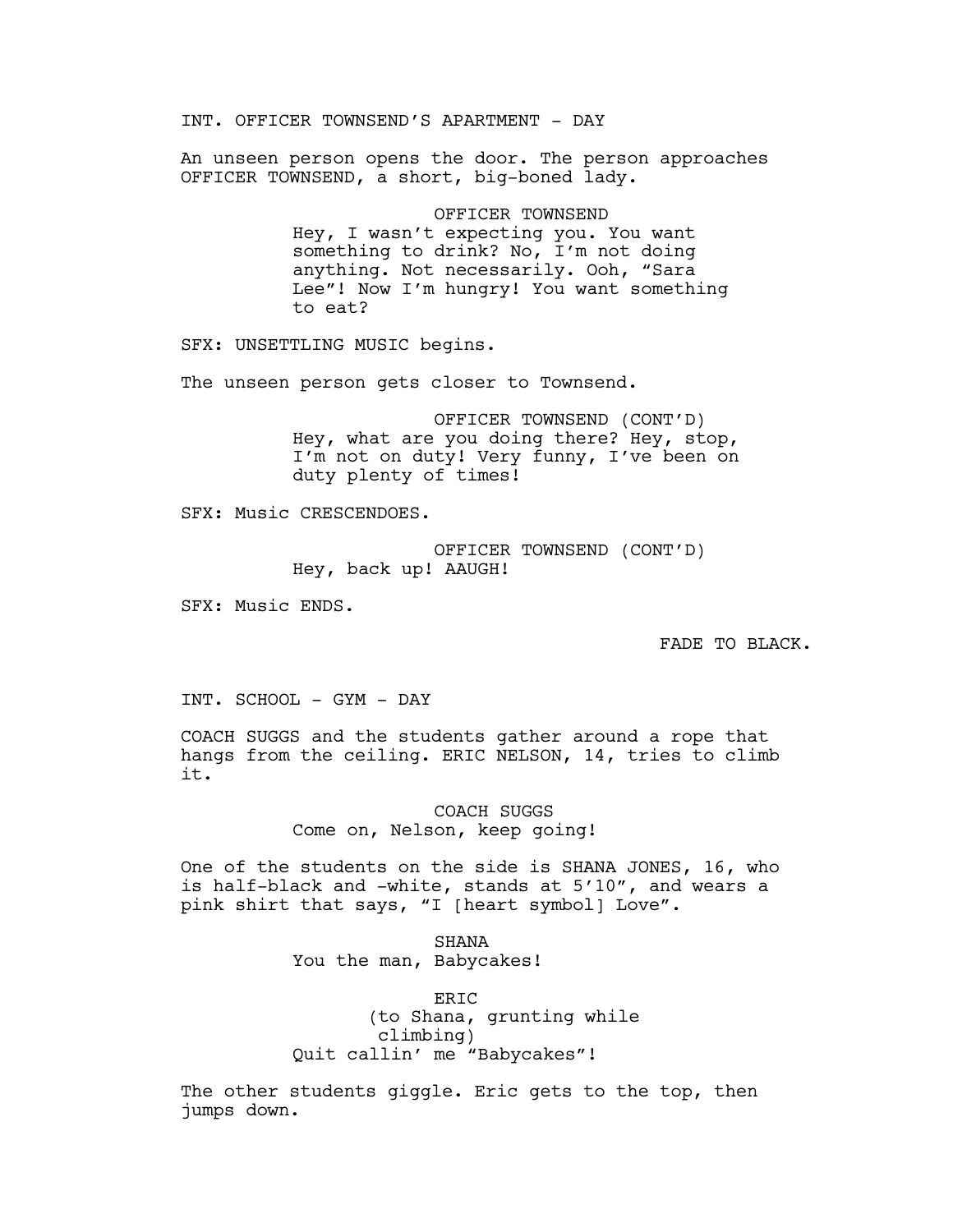INT. OFFICER TOWNSEND'S APARTMENT - DAY

An unseen person opens the door. The person approaches OFFICER TOWNSEND, a short, big-boned lady.

> OFFICER TOWNSEND Hey, I wasn't expecting you. You want something to drink? No, I'm not doing anything. Not necessarily. Ooh, "Sara Lee"! Now I'm hungry! You want something to eat?

SFX: UNSETTLING MUSIC begins.

The unseen person gets closer to Townsend.

OFFICER TOWNSEND (CONT'D) Hey, what are you doing there? Hey, stop, I'm not on duty! Very funny, I've been on duty plenty of times!

SFX: Music CRESCENDOES.

OFFICER TOWNSEND (CONT'D) Hey, back up! AAUGH!

SFX: Music ENDS.

FADE TO BLACK.

INT. SCHOOL - GYM - DAY

COACH SUGGS and the students gather around a rope that hangs from the ceiling. ERIC NELSON, 14, tries to climb it.

> COACH SUGGS Come on, Nelson, keep going!

One of the students on the side is SHANA JONES, 16, who is half-black and -white, stands at 5'10", and wears a pink shirt that says, "I [heart symbol] Love".

> SHANA You the man, Babycakes!

ERIC (to Shana, grunting while climbing) Quit callin' me "Babycakes"!

The other students giggle. Eric gets to the top, then jumps down.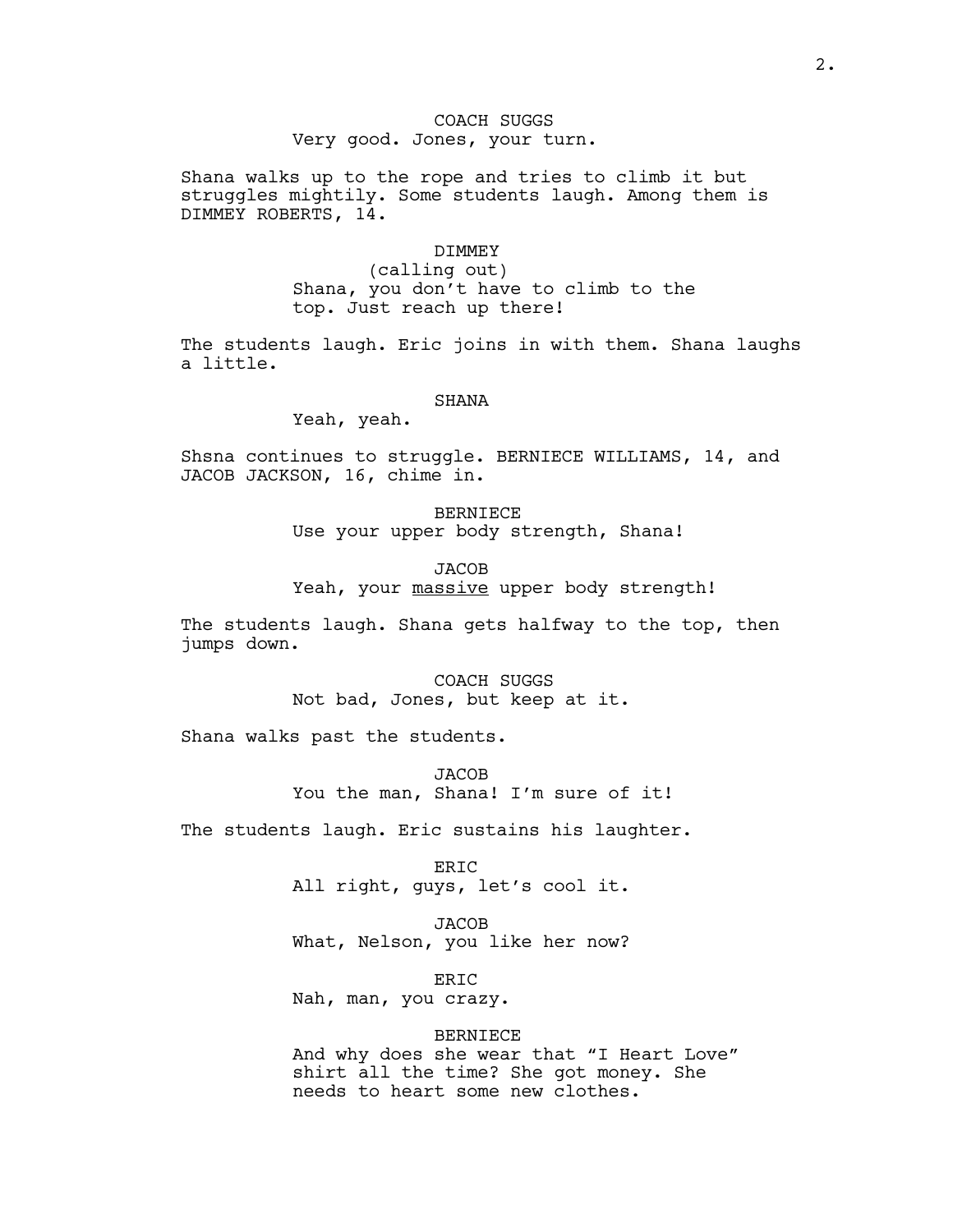# COACH SUGGS Very good. Jones, your turn.

Shana walks up to the rope and tries to climb it but struggles mightily. Some students laugh. Among them is DIMMEY ROBERTS, 14.

### DIMMEY

(calling out) Shana, you don't have to climb to the top. Just reach up there!

The students laugh. Eric joins in with them. Shana laughs a little.

### **SHANA**

Yeah, yeah.

Shsna continues to struggle. BERNIECE WILLIAMS, 14, and JACOB JACKSON, 16, chime in.

> BERNIECE Use your upper body strength, Shana!

**JACOB** Yeah, your massive upper body strength!

The students laugh. Shana gets halfway to the top, then jumps down.

> COACH SUGGS Not bad, Jones, but keep at it.

Shana walks past the students.

**JACOB** You the man, Shana! I'm sure of it!

The students laugh. Eric sustains his laughter.

ERIC All right, guys, let's cool it.

**JACOB** What, Nelson, you like her now?

ERIC Nah, man, you crazy.

# BERNIECE

And why does she wear that "I Heart Love" shirt all the time? She got money. She needs to heart some new clothes.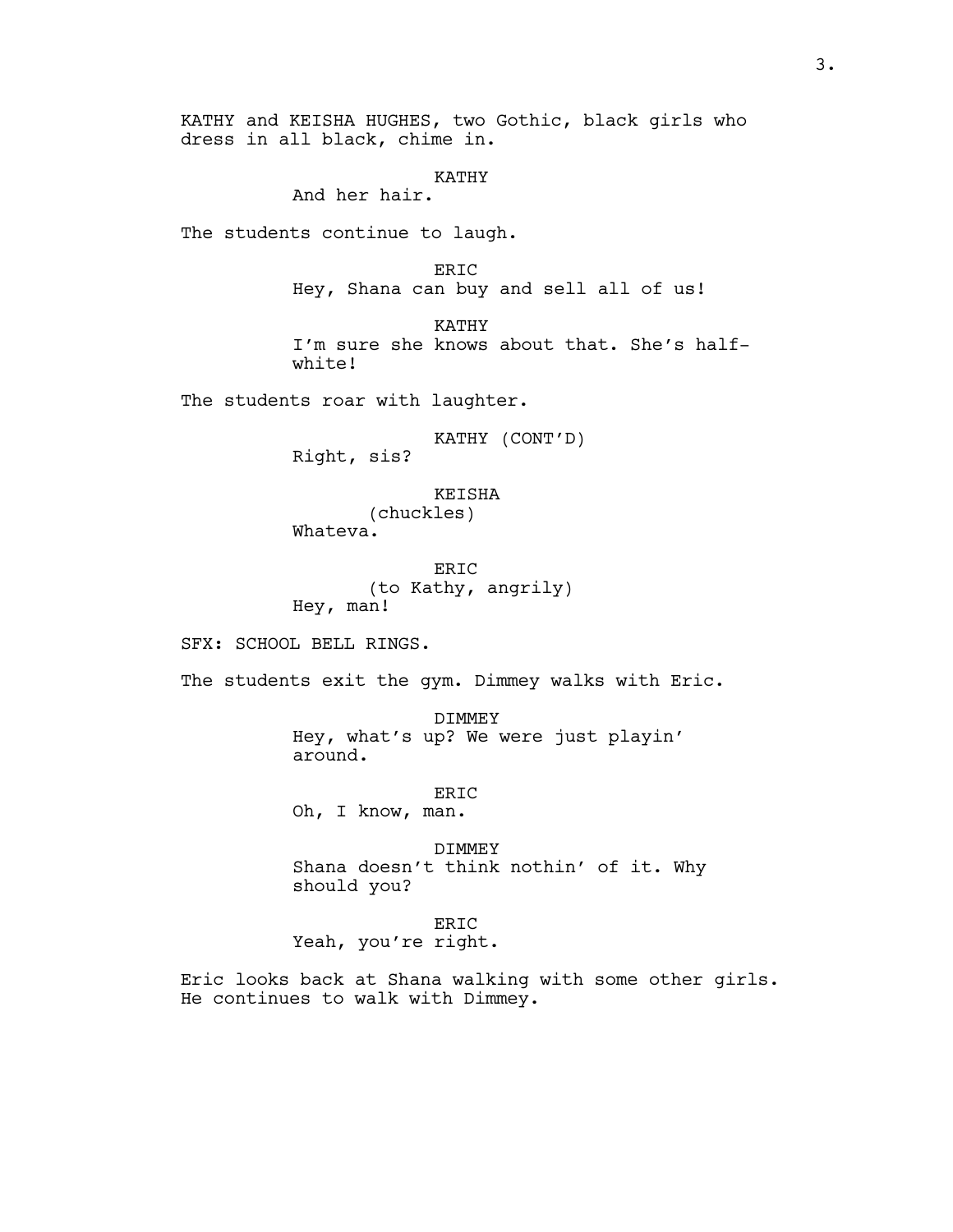KATHY and KEISHA HUGHES, two Gothic, black girls who dress in all black, chime in.

### KATHY

And her hair.

The students continue to laugh.

ERIC Hey, Shana can buy and sell all of us!

KATHY I'm sure she knows about that. She's halfwhite!

The students roar with laughter.

KATHY (CONT'D)

Right, sis?

KEISHA (chuckles)

Whateva.

ER<sub>TC</sub> (to Kathy, angrily) Hey, man!

SFX: SCHOOL BELL RINGS.

The students exit the gym. Dimmey walks with Eric.

DIMMEY Hey, what's up? We were just playin' around.

ERIC

Oh, I know, man.

DIMMEY Shana doesn't think nothin' of it. Why should you?

ERIC Yeah, you're right.

Eric looks back at Shana walking with some other girls. He continues to walk with Dimmey.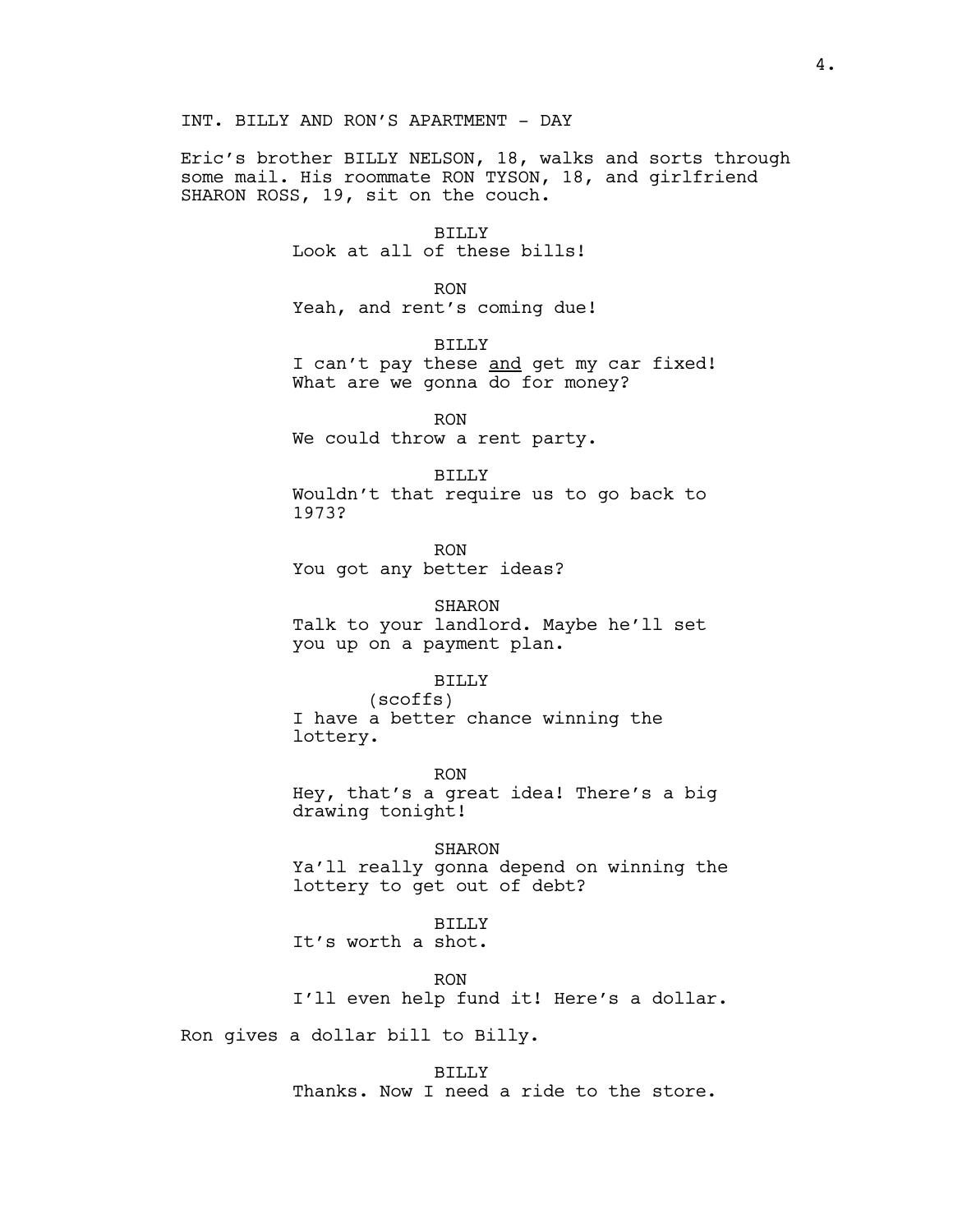Eric's brother BILLY NELSON, 18, walks and sorts through some mail. His roommate RON TYSON, 18, and girlfriend SHARON ROSS, 19, sit on the couch.

> BILLY Look at all of these bills!

> > RON

Yeah, and rent's coming due!

BILLY I can't pay these and get my car fixed! What are we gonna do for money?

RON We could throw a rent party.

BILLY Wouldn't that require us to go back to 1973?

RON You got any better ideas?

SHARON Talk to your landlord. Maybe he'll set you up on a payment plan.

BILLY

(scoffs) I have a better chance winning the lottery.

RON Hey, that's a great idea! There's a big drawing tonight!

SHARON Ya'll really gonna depend on winning the lottery to get out of debt?

BILLY

It's worth a shot.

RON

I'll even help fund it! Here's a dollar.

Ron gives a dollar bill to Billy.

BILLY Thanks. Now I need a ride to the store.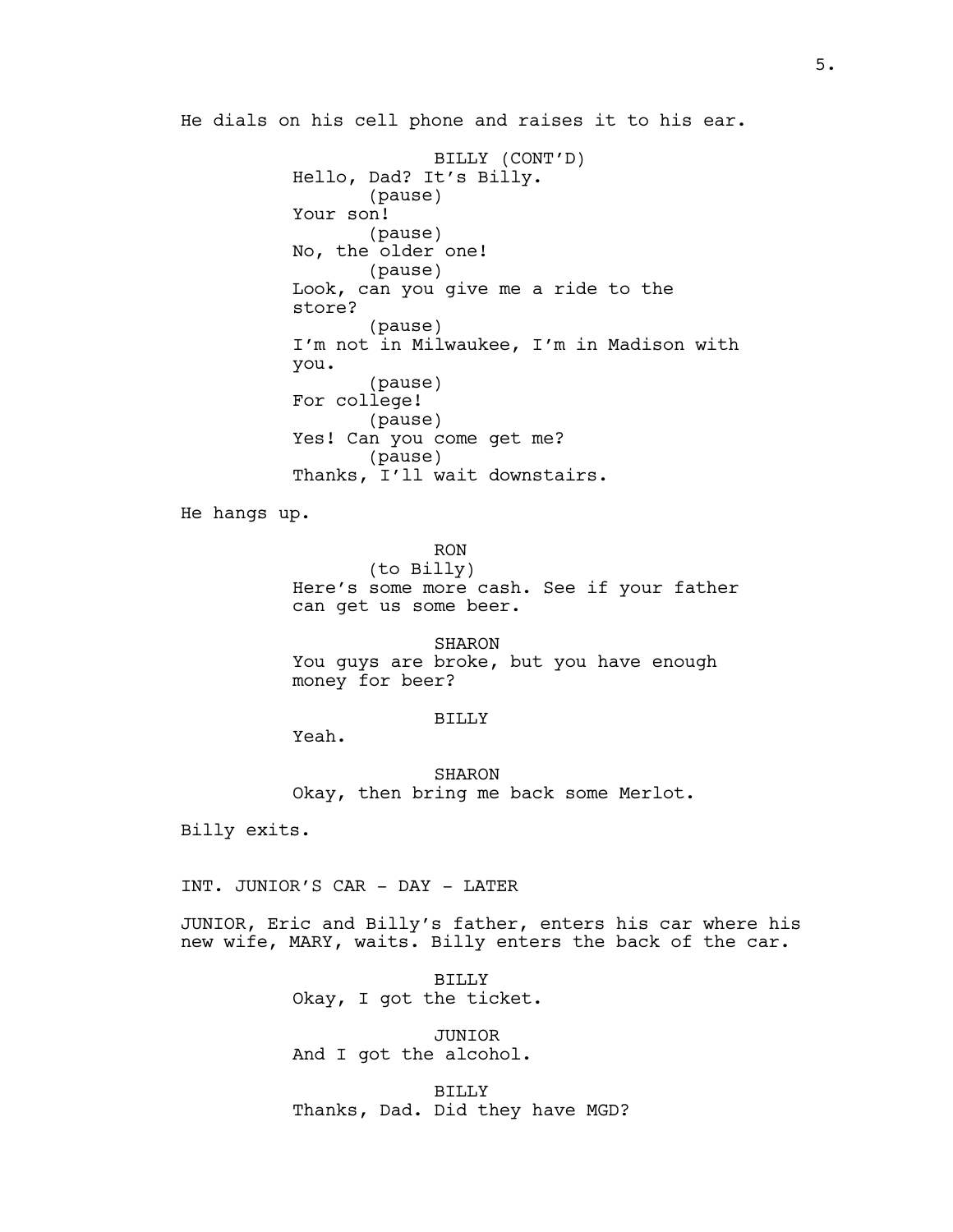He dials on his cell phone and raises it to his ear.

BILLY (CONT'D) Hello, Dad? It's Billy. (pause) Your son! (pause) No, the older one! (pause) Look, can you give me a ride to the store? (pause) I'm not in Milwaukee, I'm in Madison with you. (pause) For college! (pause) Yes! Can you come get me? (pause) Thanks, I'll wait downstairs.

He hangs up.

RON (to Billy) Here's some more cash. See if your father can get us some beer.

SHARON You guys are broke, but you have enough money for beer?

### BILLY

Yeah.

SHARON Okay, then bring me back some Merlot.

Billy exits.

INT. JUNIOR'S CAR - DAY - LATER

JUNIOR, Eric and Billy's father, enters his car where his new wife, MARY, waits. Billy enters the back of the car.

> BILLY Okay, I got the ticket.

JUNIOR And I got the alcohol.

BILLY Thanks, Dad. Did they have MGD?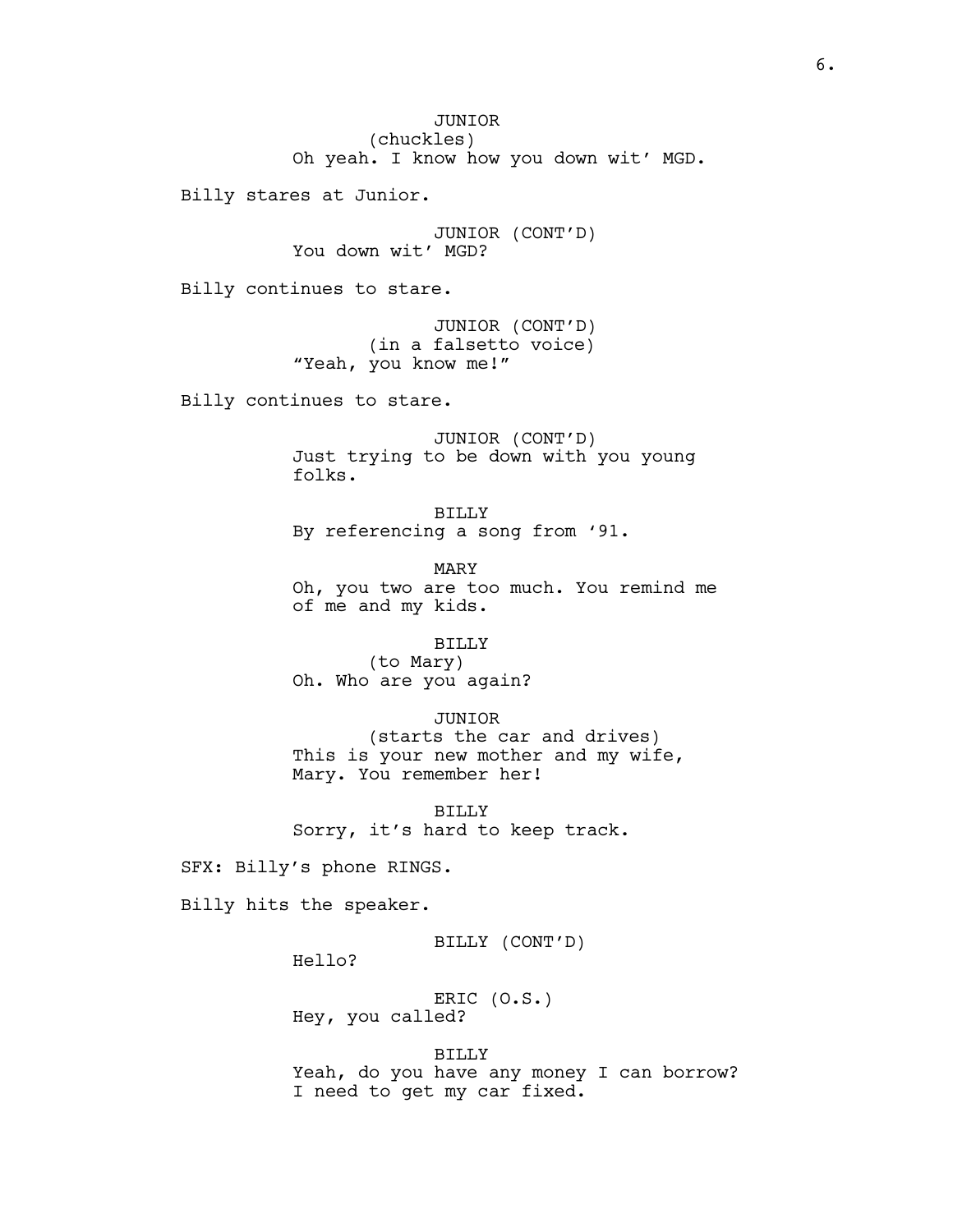JUNIOR (chuckles) Oh yeah. I know how you down wit' MGD.

Billy stares at Junior.

JUNIOR (CONT'D) You down wit' MGD?

Billy continues to stare.

JUNIOR (CONT'D) (in a falsetto voice) "Yeah, you know me!"

Billy continues to stare.

JUNIOR (CONT'D) Just trying to be down with you young folks.

BILLY By referencing a song from '91.

MARY Oh, you two are too much. You remind me of me and my kids.

# BILLY

(to Mary) Oh. Who are you again?

# JUNIOR

(starts the car and drives) This is your new mother and my wife, Mary. You remember her!

BILLY Sorry, it's hard to keep track.

SFX: Billy's phone RINGS.

Billy hits the speaker.

BILLY (CONT'D)

Hello?

ERIC (O.S.) Hey, you called?

BILLY Yeah, do you have any money I can borrow? I need to get my car fixed.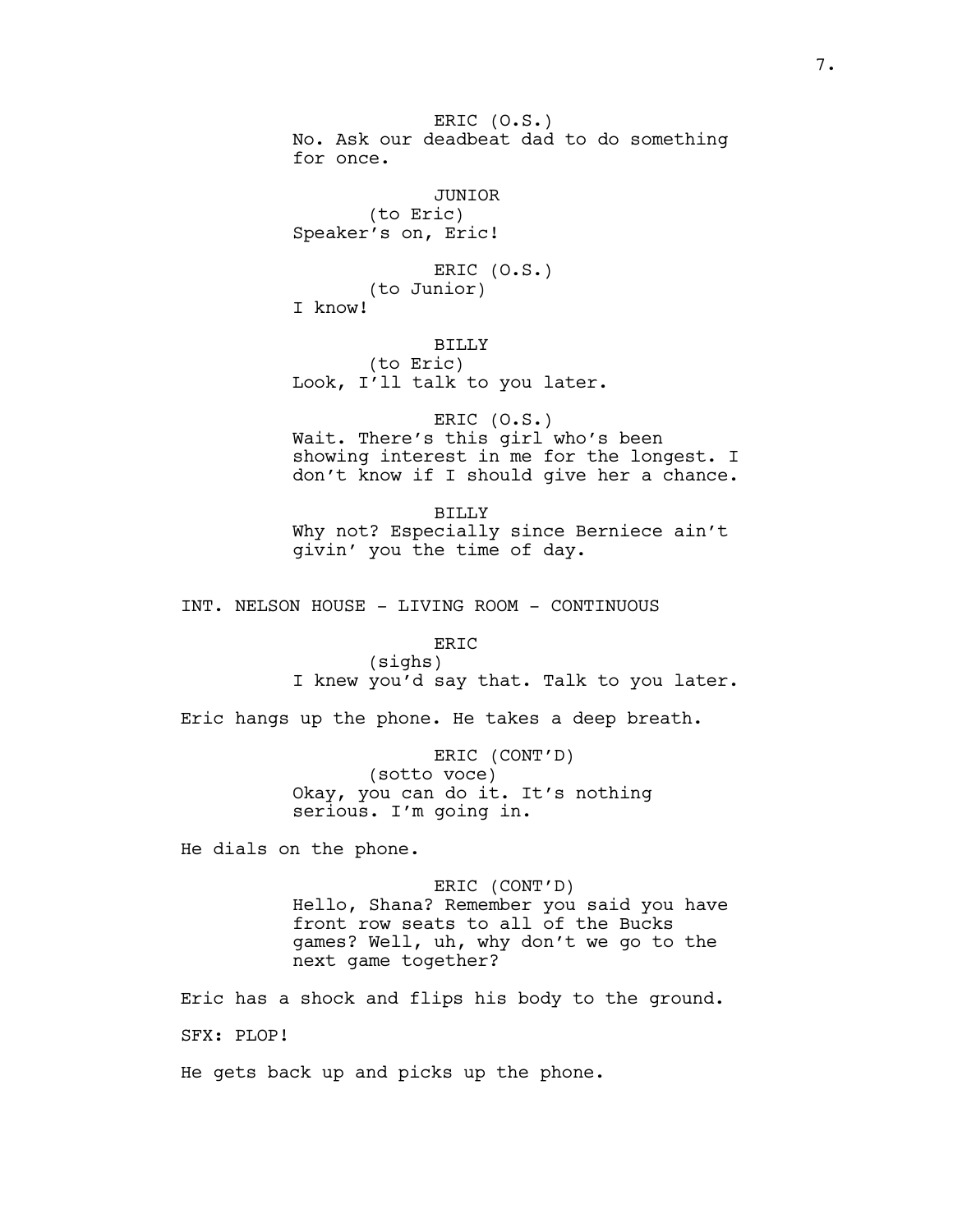ERIC (O.S.) No. Ask our deadbeat dad to do something for once. JUNIOR (to Eric) Speaker's on, Eric! ERIC (O.S.) (to Junior) I know!

BILLY (to Eric) Look, I'll talk to you later.

ERIC (O.S.) Wait. There's this girl who's been showing interest in me for the longest. I don't know if I should give her a chance.

BILLY Why not? Especially since Berniece ain't givin' you the time of day.

INT. NELSON HOUSE - LIVING ROOM - CONTINUOUS

ERIC (sighs) I knew you'd say that. Talk to you later.

Eric hangs up the phone. He takes a deep breath.

ERIC (CONT'D) (sotto voce) Okay, you can do it. It's nothing serious. I'm going in.

He dials on the phone.

ERIC (CONT'D) Hello, Shana? Remember you said you have front row seats to all of the Bucks games? Well, uh, why don't we go to the next game together?

Eric has a shock and flips his body to the ground. SFX: PLOP!

He gets back up and picks up the phone.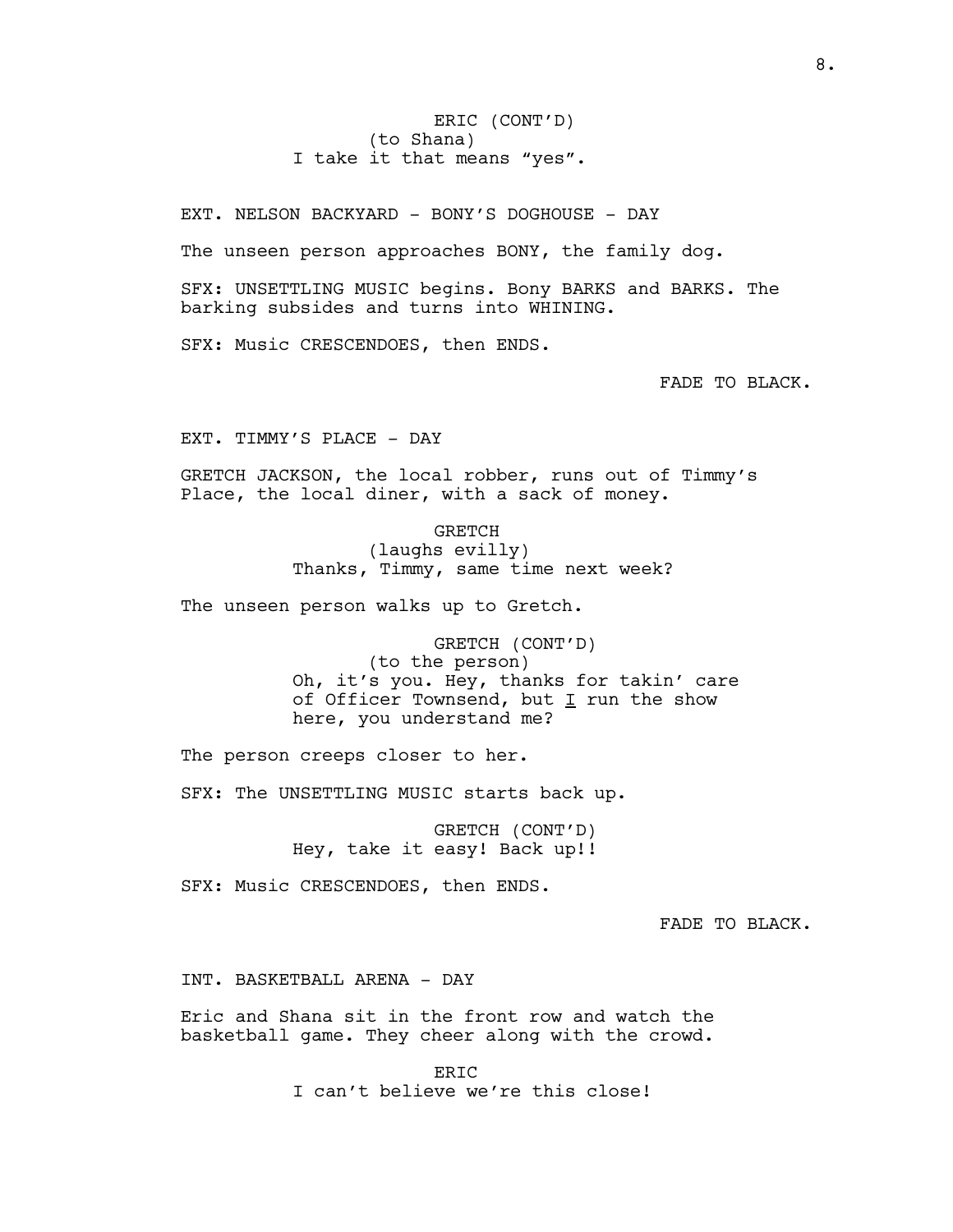ERIC (CONT'D) (to Shana) I take it that means "yes".

EXT. NELSON BACKYARD - BONY'S DOGHOUSE - DAY

The unseen person approaches BONY, the family dog.

SFX: UNSETTLING MUSIC begins. Bony BARKS and BARKS. The barking subsides and turns into WHINING.

SFX: Music CRESCENDOES, then ENDS.

FADE TO BLACK.

EXT. TIMMY'S PLACE - DAY

GRETCH JACKSON, the local robber, runs out of Timmy's Place, the local diner, with a sack of money.

> GRETCH (laughs evilly) Thanks, Timmy, same time next week?

The unseen person walks up to Gretch.

GRETCH (CONT'D) (to the person) Oh, it's you. Hey, thanks for takin' care of Officer Townsend, but  $I$  run the show here, you understand me?

The person creeps closer to her.

SFX: The UNSETTLING MUSIC starts back up.

GRETCH (CONT'D) Hey, take it easy! Back up!!

SFX: Music CRESCENDOES, then ENDS.

FADE TO BLACK.

INT. BASKETBALL ARENA - DAY

Eric and Shana sit in the front row and watch the basketball game. They cheer along with the crowd.

> ERIC I can't believe we're this close!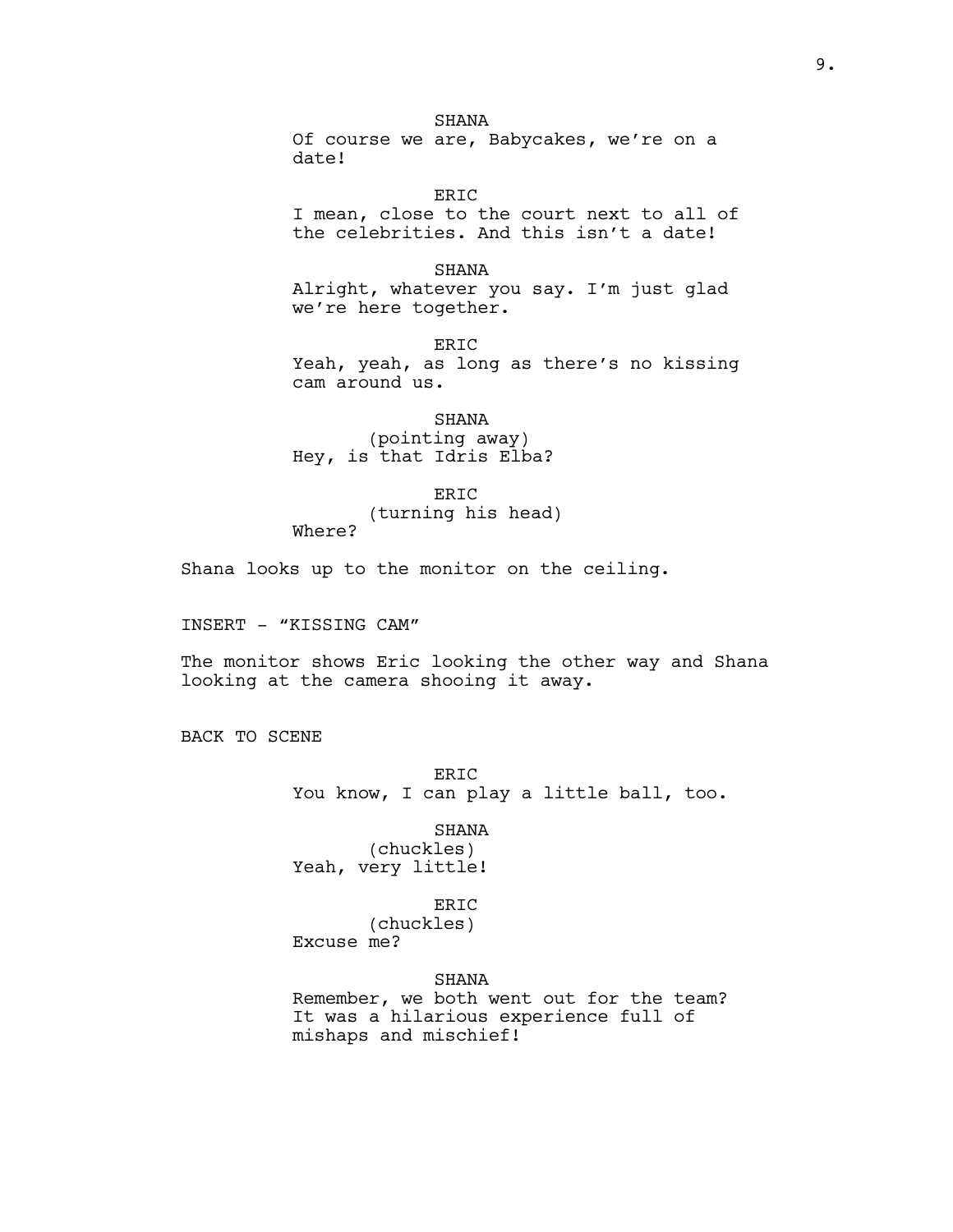SHANA Of course we are, Babycakes, we're on a date!

ERIC I mean, close to the court next to all of the celebrities. And this isn't a date!

SHANA Alright, whatever you say. I'm just glad we're here together.

ERIC Yeah, yeah, as long as there's no kissing cam around us.

SHANA (pointing away) Hey, is that Idris Elba?

ERIC (turning his head) Where?

Shana looks up to the monitor on the ceiling.

INSERT - "KISSING CAM"

The monitor shows Eric looking the other way and Shana looking at the camera shooing it away.

BACK TO SCENE

ER<sub>TC</sub> You know, I can play a little ball, too.

SHANA

(chuckles) Yeah, very little!

# ERIC

(chuckles) Excuse me?

# SHANA

Remember, we both went out for the team? It was a hilarious experience full of mishaps and mischief!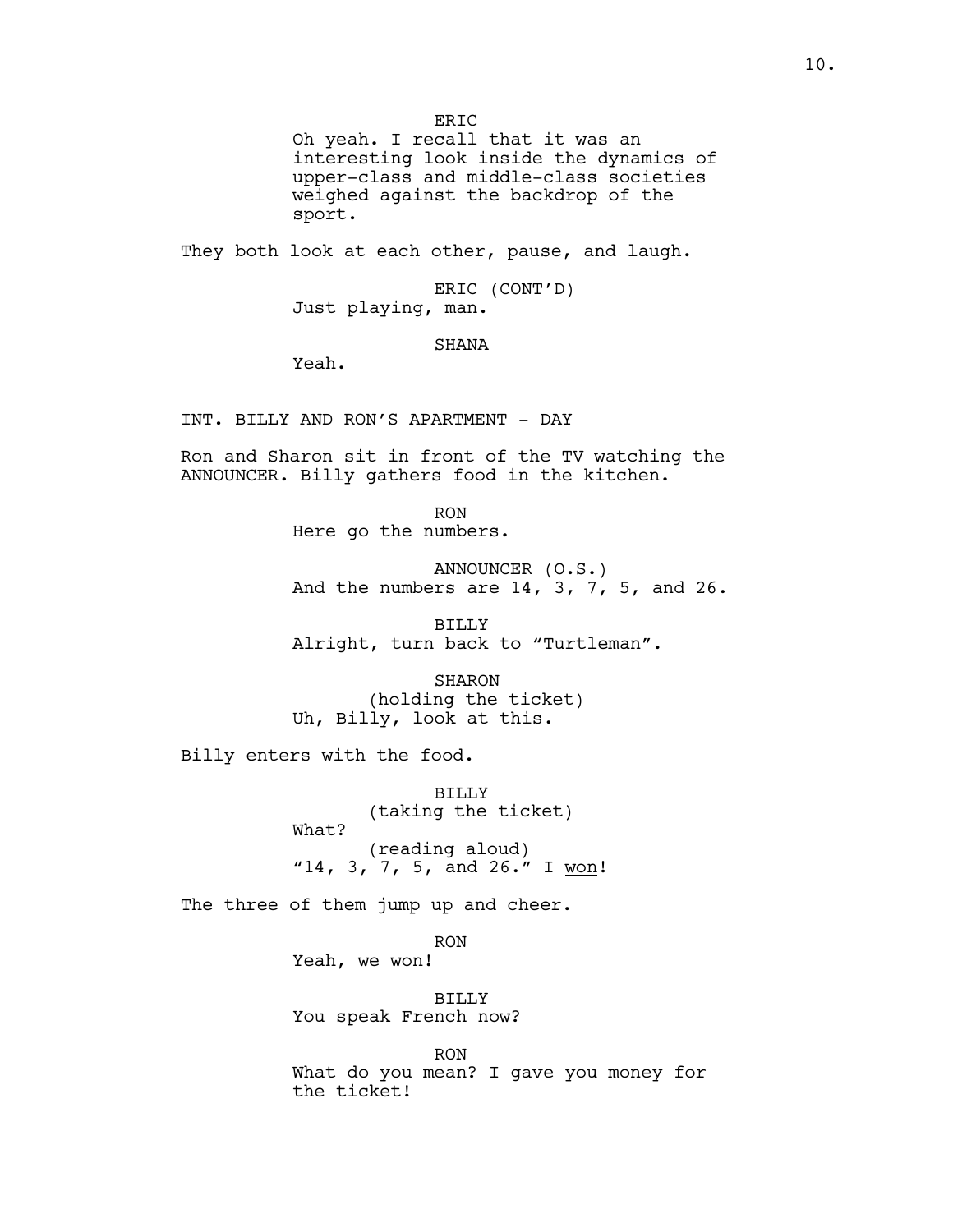ERIC

Oh yeah. I recall that it was an interesting look inside the dynamics of upper-class and middle-class societies weighed against the backdrop of the sport.

They both look at each other, pause, and laugh.

ERIC (CONT'D) Just playing, man.

SHANA

Yeah.

INT. BILLY AND RON'S APARTMENT - DAY

Ron and Sharon sit in front of the TV watching the ANNOUNCER. Billy gathers food in the kitchen.

> RON Here go the numbers.

ANNOUNCER (O.S.) And the numbers are 14, 3, 7, 5, and 26.

BILLY Alright, turn back to "Turtleman".

SHARON (holding the ticket) Uh, Billy, look at this.

Billy enters with the food.

BILLY (taking the ticket) What? (reading aloud) "14, 3, 7, 5, and 26." I won!

The three of them jump up and cheer.

RON Yeah, we won!

BILLY You speak French now?

RON What do you mean? I gave you money for the ticket!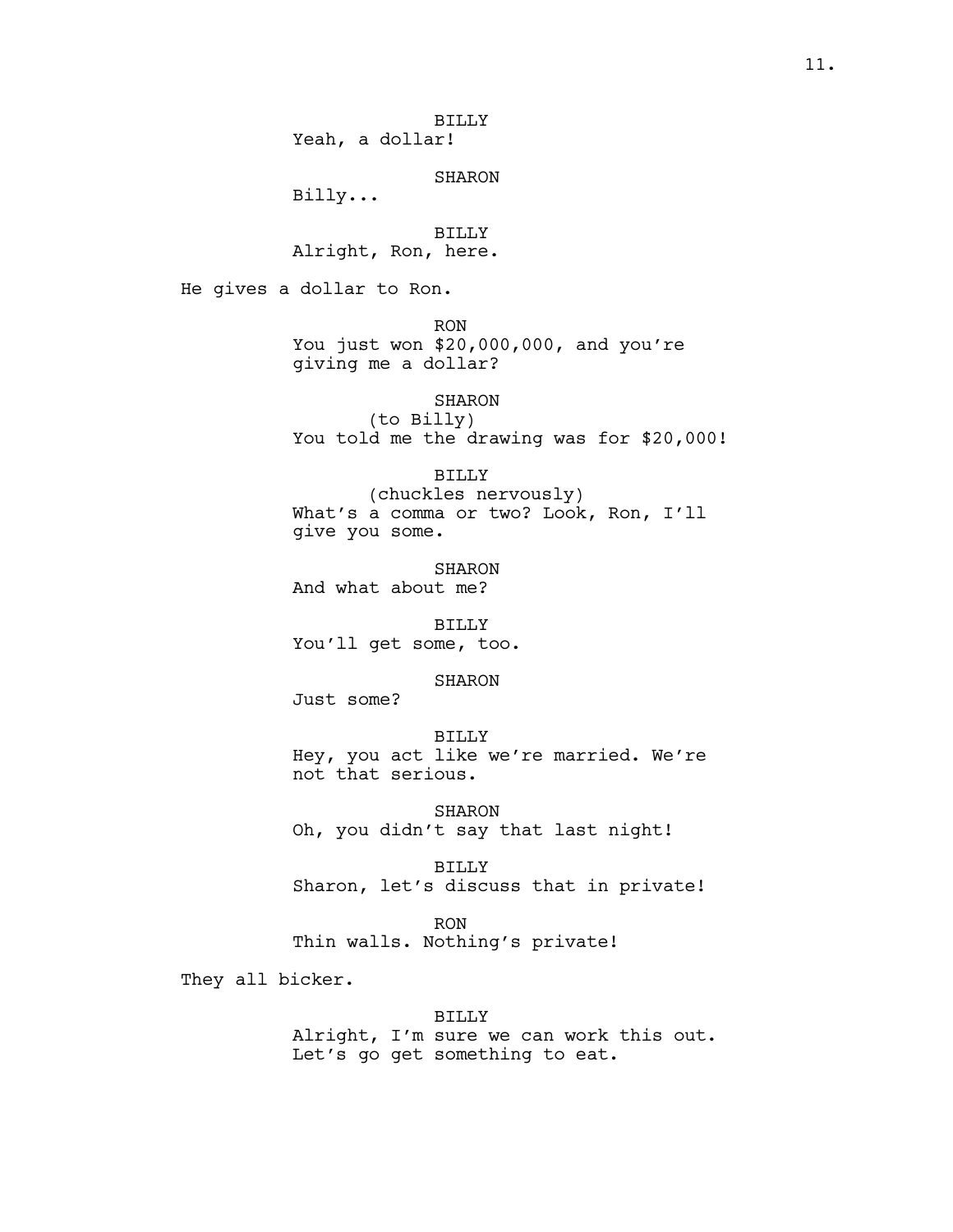# SHARON

Billy...

BILLY Alright, Ron, here.

He gives a dollar to Ron.

RON

You just won \$20,000,000, and you're giving me a dollar?

### SHARON

(to Billy) You told me the drawing was for \$20,000!

BILLY

(chuckles nervously) What's a comma or two? Look, Ron, I'll give you some.

SHARON And what about me?

BILLY You'll get some, too.

# SHARON

Just some?

#### BILLY

Hey, you act like we're married. We're not that serious.

SHARON Oh, you didn't say that last night!

BILLY Sharon, let's discuss that in private!

RON Thin walls. Nothing's private!

They all bicker.

# BILLY

Alright, I'm sure we can work this out. Let's go get something to eat.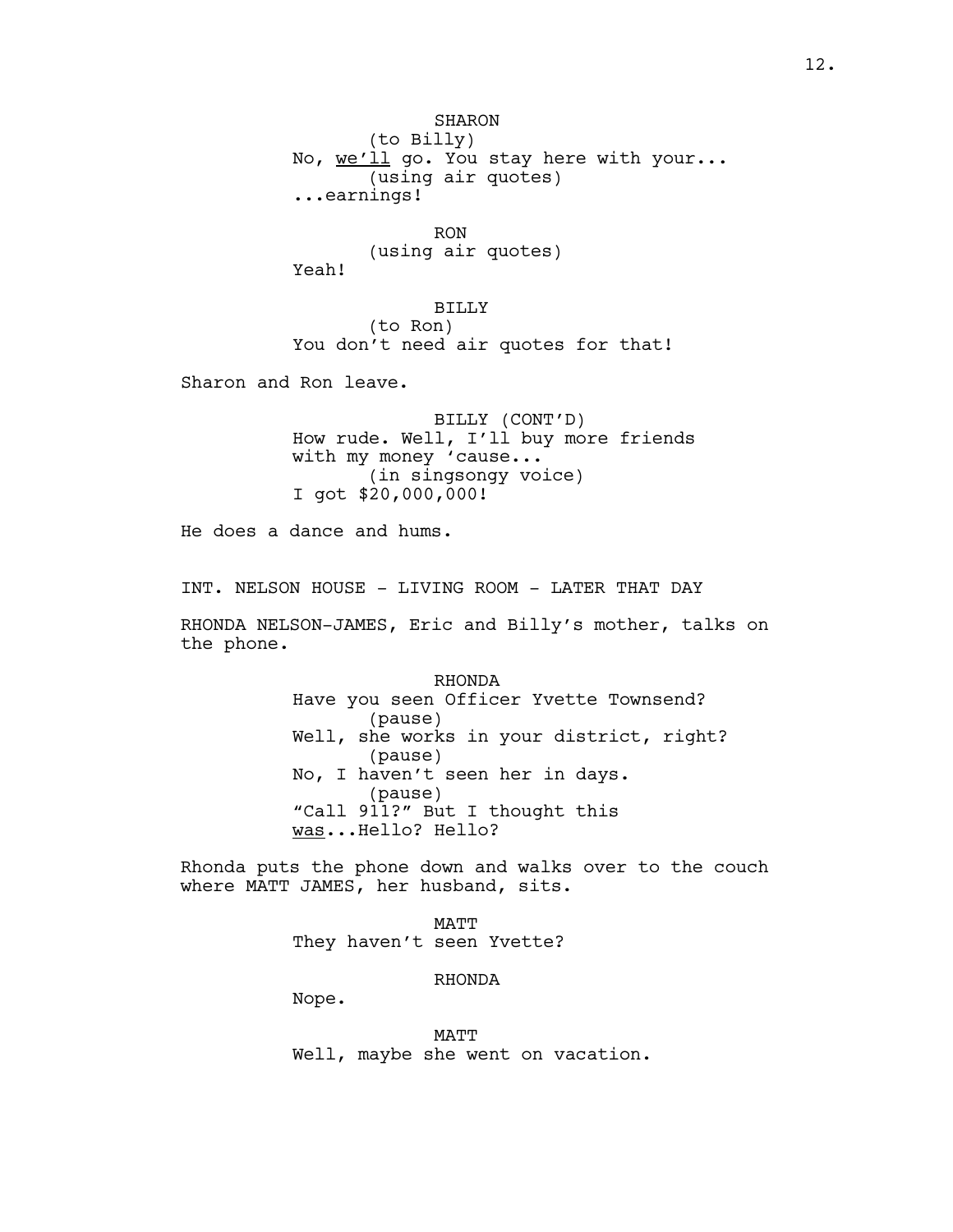SHARON (to Billy) No, we'll go. You stay here with your... (using air quotes) ...earnings!

RON (using air quotes) Yeah!

BILLY (to Ron) You don't need air quotes for that!

Sharon and Ron leave.

BILLY (CONT'D) How rude. Well, I'll buy more friends with my money 'cause... (in singsongy voice) I got \$20,000,000!

He does a dance and hums.

INT. NELSON HOUSE - LIVING ROOM - LATER THAT DAY

RHONDA NELSON-JAMES, Eric and Billy's mother, talks on the phone.

> RHONDA Have you seen Officer Yvette Townsend? (pause) Well, she works in your district, right? (pause) No, I haven't seen her in days. (pause) "Call 911?" But I thought this was...Hello? Hello?

Rhonda puts the phone down and walks over to the couch where MATT JAMES, her husband, sits.

> MATT They haven't seen Yvette?

> > RHONDA

Nope.

MATT Well, maybe she went on vacation.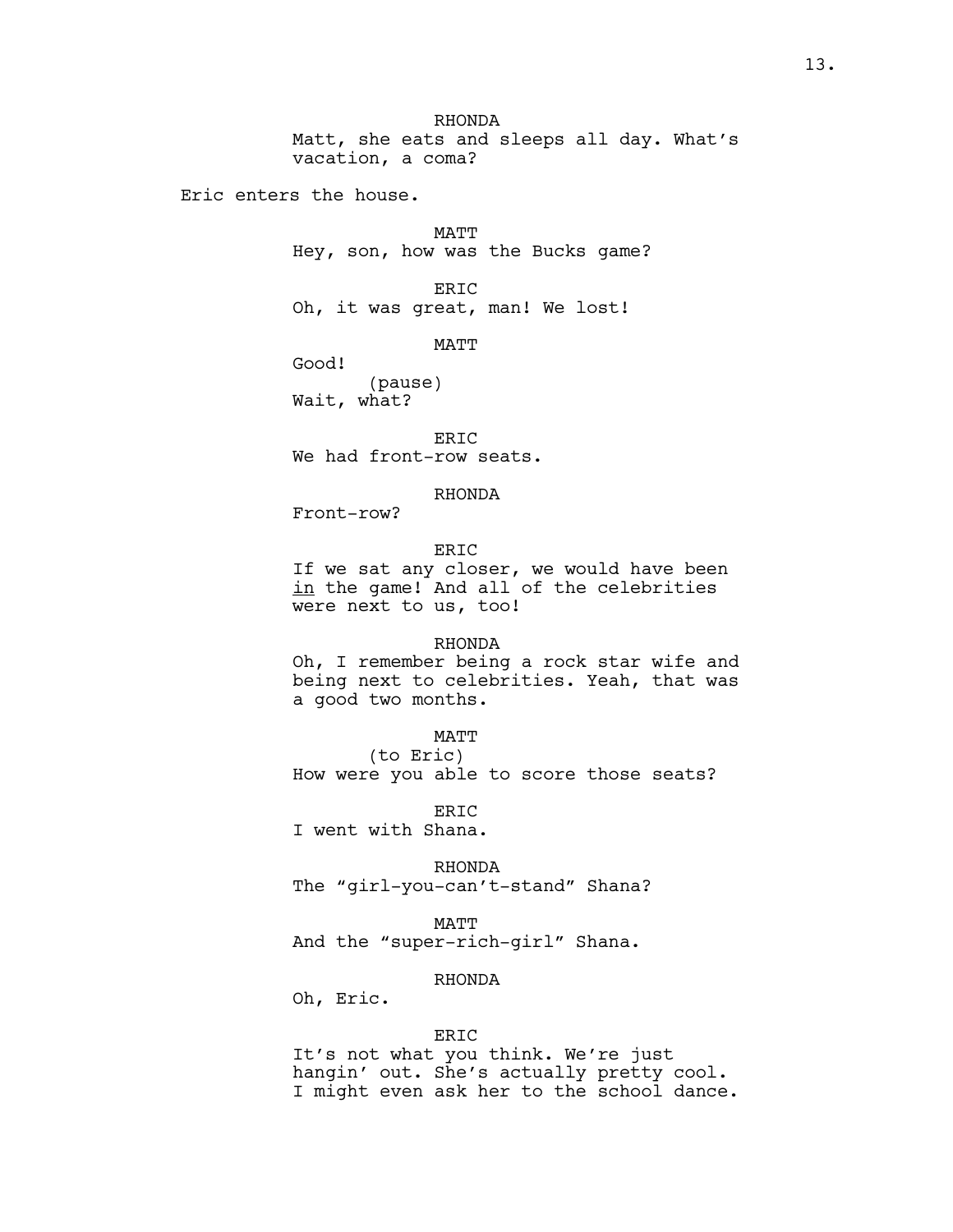RHONDA Matt, she eats and sleeps all day. What's vacation, a coma?

Eric enters the house.

MATT Hey, son, how was the Bucks game?

ERIC Oh, it was great, man! We lost!

MATT

Good!

(pause) Wait, what?

ERIC We had front-row seats.

RHONDA

Front-row?

# ERIC

If we sat any closer, we would have been in the game! And all of the celebrities were next to us, too!

### RHONDA

Oh, I remember being a rock star wife and being next to celebrities. Yeah, that was a good two months.

# MATT

(to Eric) How were you able to score those seats?

ER<sub>TC</sub> I went with Shana.

RHONDA

The "girl-you-can't-stand" Shana?

MATT

And the "super-rich-girl" Shana.

# RHONDA

Oh, Eric.

### ERIC

It's not what you think. We're just hangin' out. She's actually pretty cool. I might even ask her to the school dance.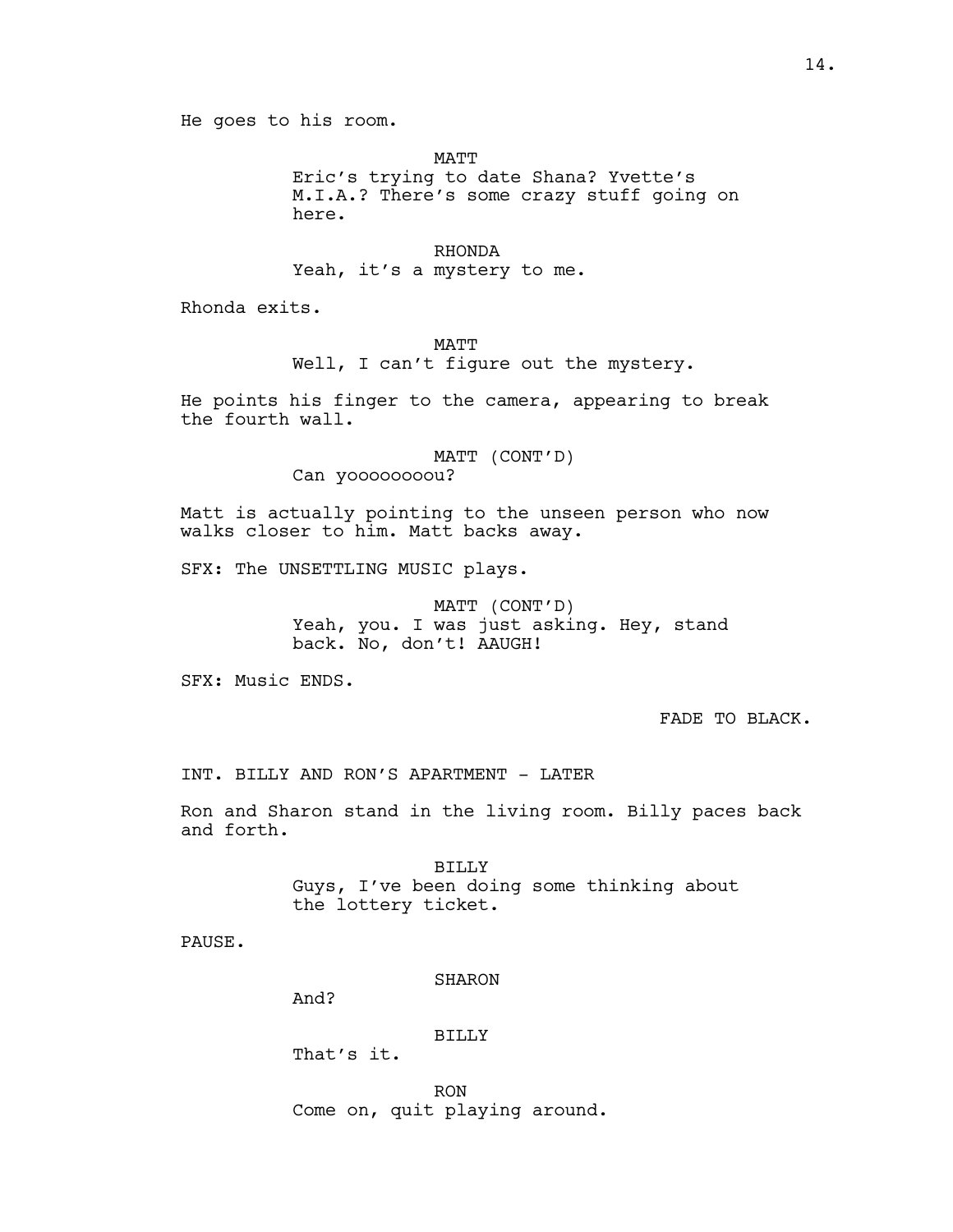MATT Eric's trying to date Shana? Yvette's M.I.A.? There's some crazy stuff going on here.

RHONDA Yeah, it's a mystery to me.

Rhonda exits.

# MATT Well, I can't figure out the mystery.

He points his finger to the camera, appearing to break the fourth wall.

> MATT (CONT'D) Can yoooooooou?

Matt is actually pointing to the unseen person who now walks closer to him. Matt backs away.

SFX: The UNSETTLING MUSIC plays.

MATT (CONT'D) Yeah, you. I was just asking. Hey, stand back. No, don't! AAUGH!

SFX: Music ENDS.

FADE TO BLACK.

INT. BILLY AND RON'S APARTMENT - LATER

Ron and Sharon stand in the living room. Billy paces back and forth.

> BILLY Guys, I've been doing some thinking about the lottery ticket.

PAUSE.

**SHARON** 

And?

# BILLY

That's it.

RON Come on, quit playing around.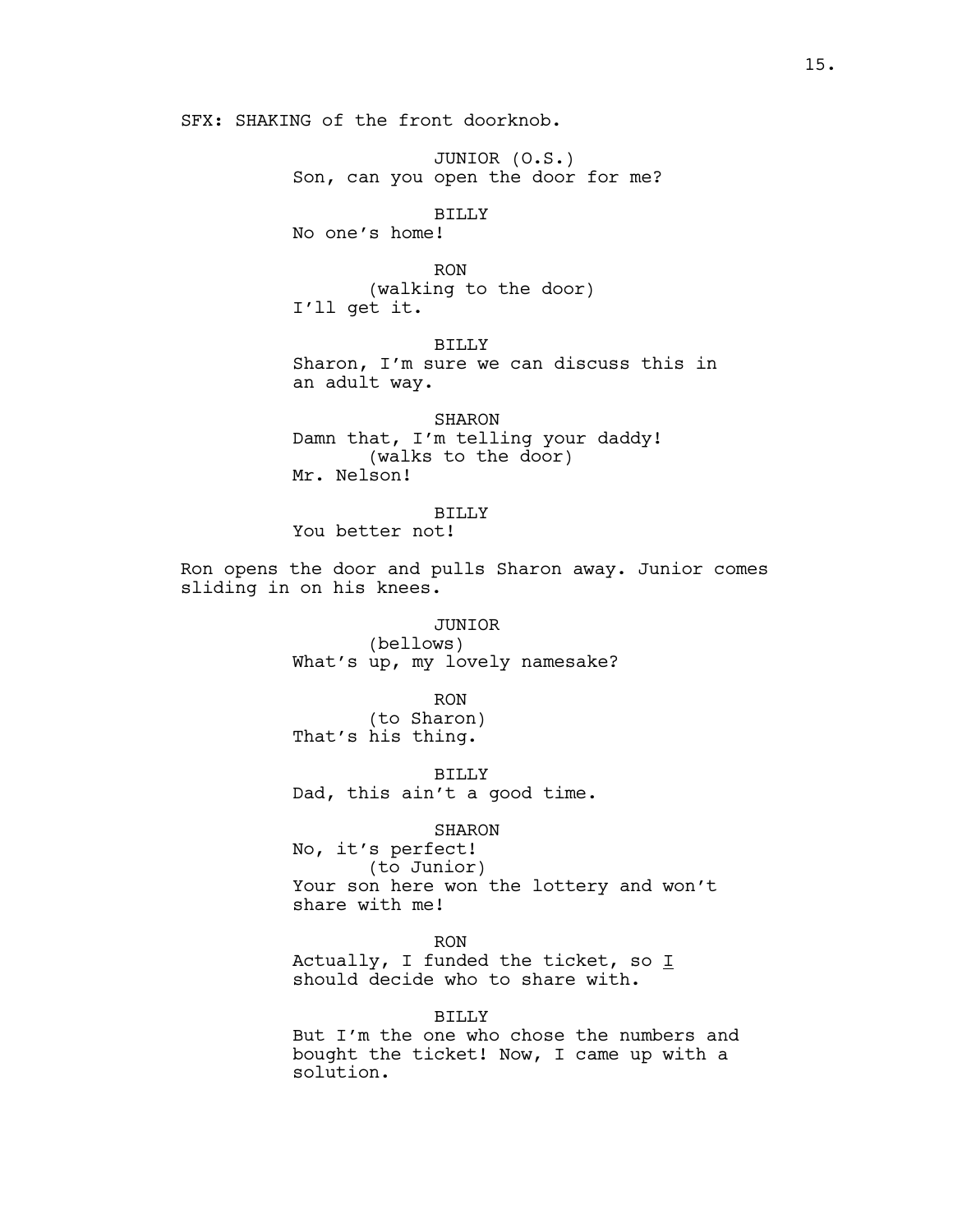SFX: SHAKING of the front doorknob.

JUNIOR (O.S.) Son, can you open the door for me?

BILLY

No one's home!

RON (walking to the door) I'll get it.

BILLY Sharon, I'm sure we can discuss this in an adult way.

SHARON Damn that, I'm telling your daddy! (walks to the door) Mr. Nelson!

BILLY You better not!

Ron opens the door and pulls Sharon away. Junior comes sliding in on his knees.

> JUNIOR (bellows) What's up, my lovely namesake?

RON (to Sharon) That's his thing.

BILLY Dad, this ain't a good time.

SHARON

No, it's perfect! (to Junior) Your son here won the lottery and won't share with me!

RON

Actually, I funded the ticket, so  $I$ should decide who to share with.

BILLY

But I'm the one who chose the numbers and bought the ticket! Now, I came up with a solution.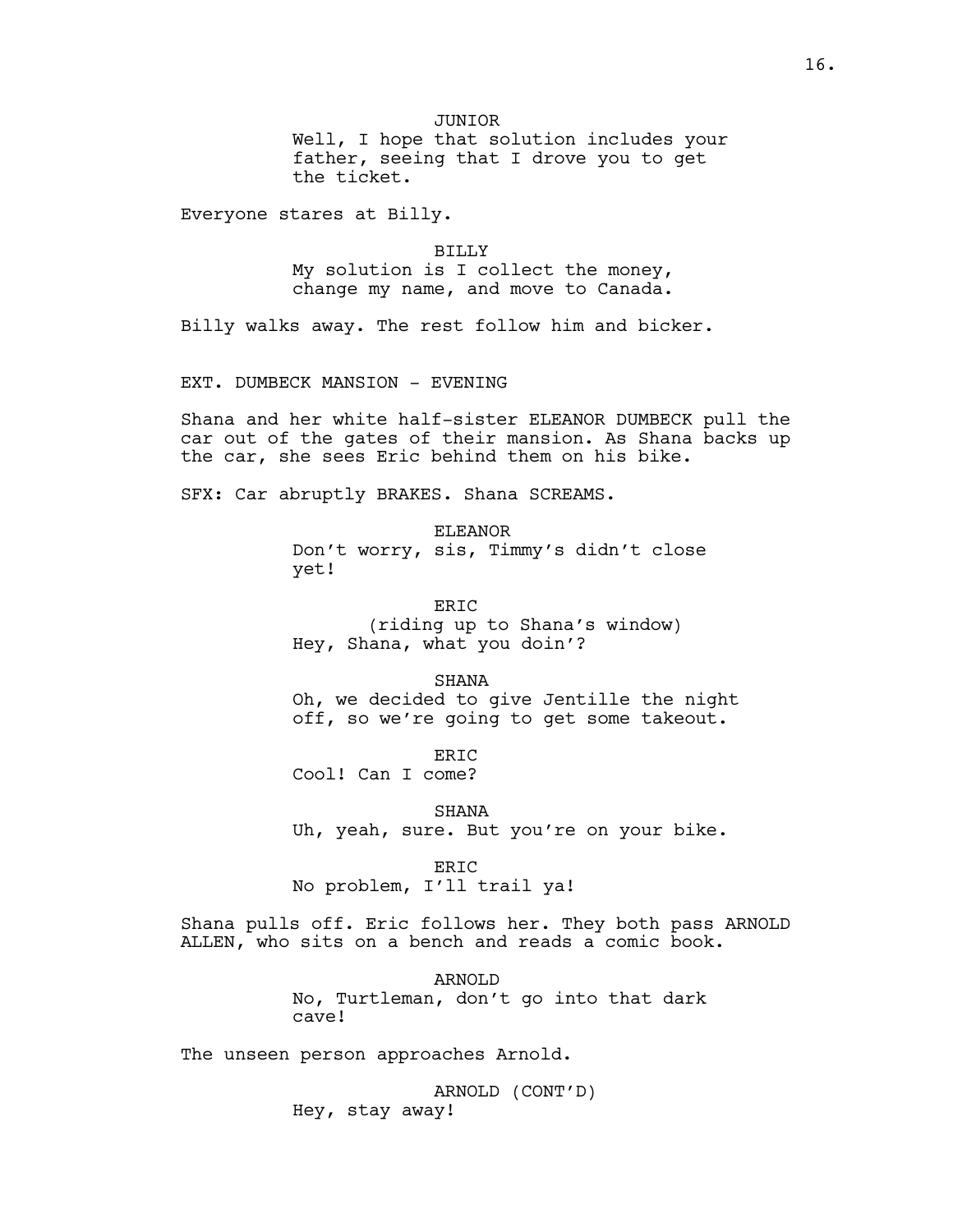JUNIOR

Well, I hope that solution includes your father, seeing that I drove you to get the ticket.

Everyone stares at Billy.

BILLY My solution is I collect the money, change my name, and move to Canada.

Billy walks away. The rest follow him and bicker.

EXT. DUMBECK MANSION - EVENING

Shana and her white half-sister ELEANOR DUMBECK pull the car out of the gates of their mansion. As Shana backs up the car, she sees Eric behind them on his bike.

SFX: Car abruptly BRAKES. Shana SCREAMS.

ELEANOR Don't worry, sis, Timmy's didn't close yet!

ERIC (riding up to Shana's window) Hey, Shana, what you doin'?

SHANA Oh, we decided to give Jentille the night off, so we're going to get some takeout.

ERIC Cool! Can I come?

SHANA Uh, yeah, sure. But you're on your bike.

ERIC No problem, I'll trail ya!

Shana pulls off. Eric follows her. They both pass ARNOLD ALLEN, who sits on a bench and reads a comic book.

> ARNOLD No, Turtleman, don't go into that dark cave!

The unseen person approaches Arnold.

ARNOLD (CONT'D) Hey, stay away!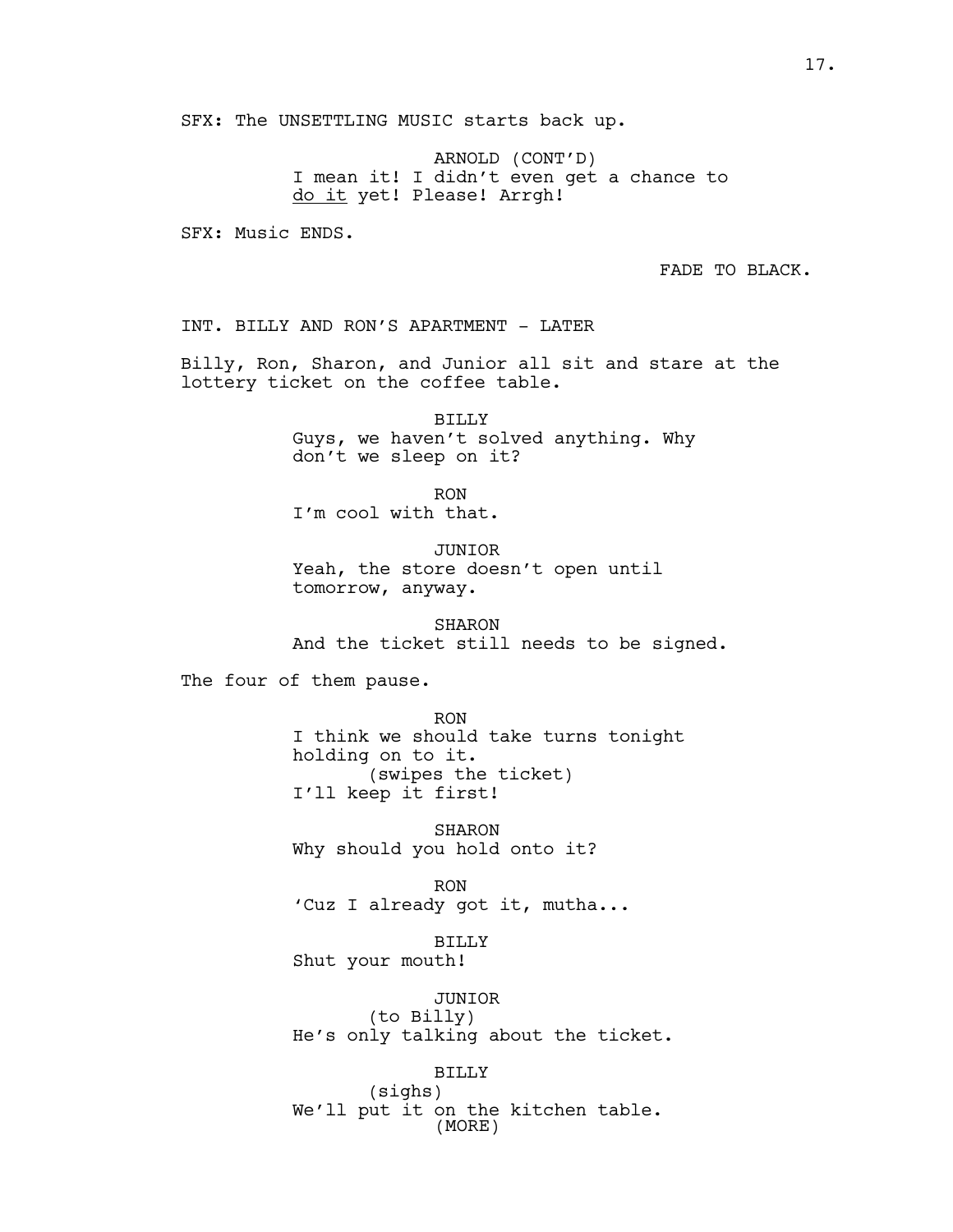SFX: The UNSETTLING MUSIC starts back up.

ARNOLD (CONT'D) I mean it! I didn't even get a chance to do it yet! Please! Arrgh!

SFX: Music ENDS.

FADE TO BLACK.

INT. BILLY AND RON'S APARTMENT - LATER

Billy, Ron, Sharon, and Junior all sit and stare at the lottery ticket on the coffee table.

> BILLY Guys, we haven't solved anything. Why don't we sleep on it?

RON I'm cool with that.

JUNIOR Yeah, the store doesn't open until tomorrow, anyway.

SHARON And the ticket still needs to be signed.

The four of them pause.

RON I think we should take turns tonight holding on to it. (swipes the ticket) I'll keep it first!

SHARON Why should you hold onto it?

RON 'Cuz I already got it, mutha...

BILLY Shut your mouth!

JUNIOR (to Billy) He's only talking about the ticket.

BILLY (sighs) We'll put it on the kitchen table. (MORE)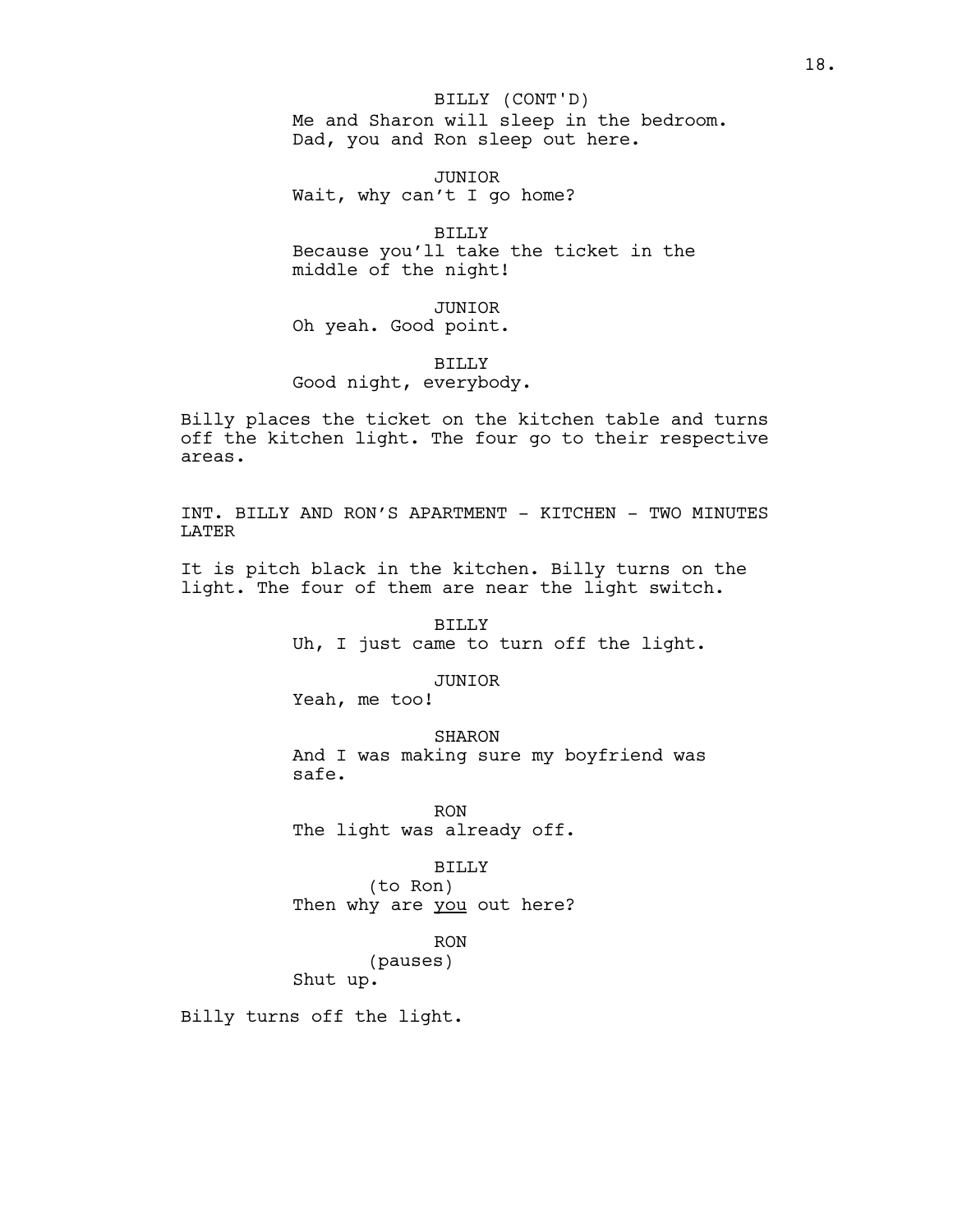Me and Sharon will sleep in the bedroom. Dad, you and Ron sleep out here. BILLY (CONT'D)

JUNIOR Wait, why can't I go home?

BILLY Because you'll take the ticket in the middle of the night!

JUNIOR Oh yeah. Good point.

BILLY Good night, everybody.

Billy places the ticket on the kitchen table and turns off the kitchen light. The four go to their respective areas.

INT. BILLY AND RON'S APARTMENT - KITCHEN - TWO MINUTES LATER

It is pitch black in the kitchen. Billy turns on the light. The four of them are near the light switch.

> BILLY Uh, I just came to turn off the light.

> > JUNIOR

Yeah, me too!

SHARON And I was making sure my boyfriend was safe.

RON The light was already off.

BILLY

(to Ron) Then why are you out here?

RON

(pauses)

Shut up.

Billy turns off the light.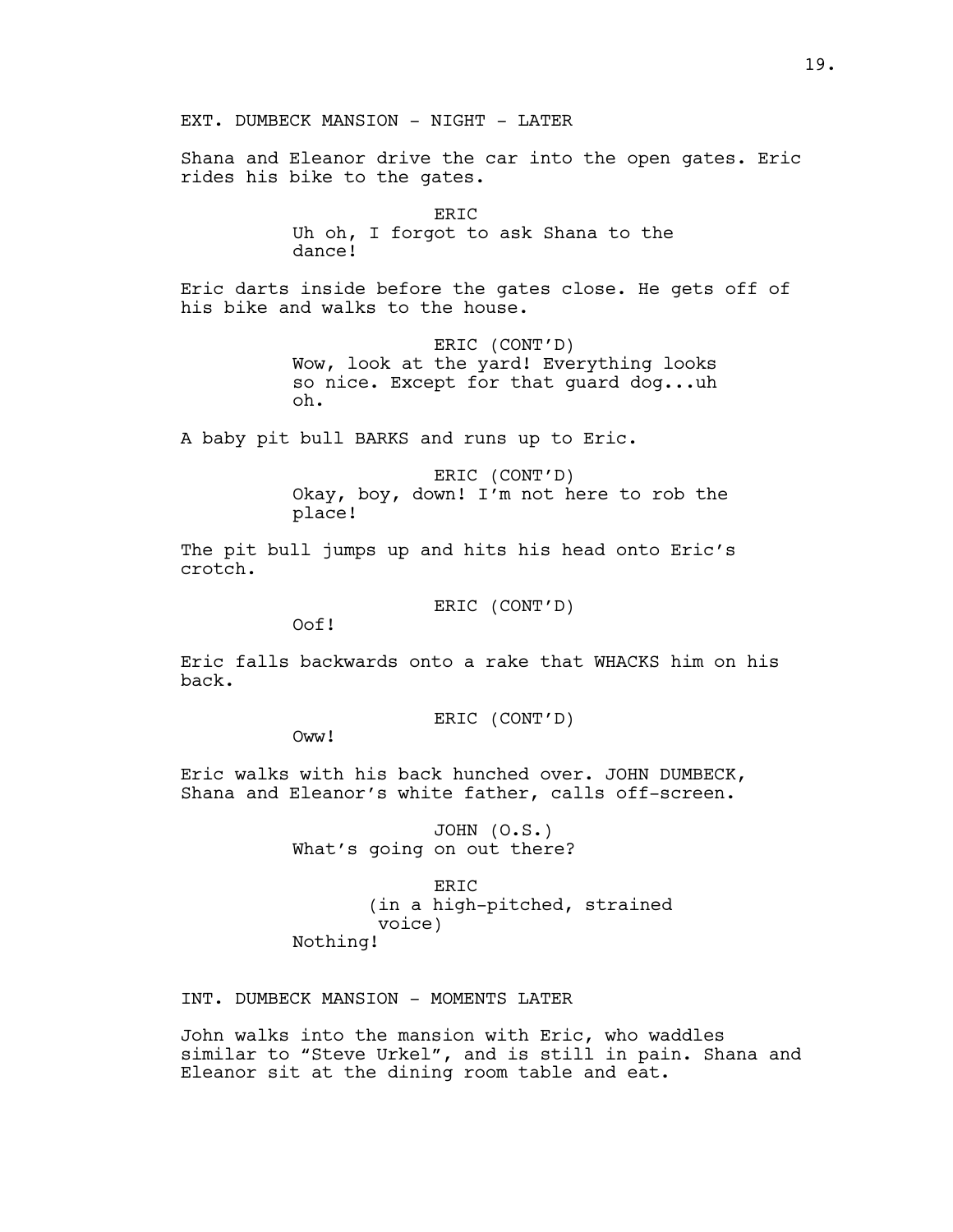Shana and Eleanor drive the car into the open gates. Eric rides his bike to the gates.

> ERIC Uh oh, I forgot to ask Shana to the dance!

Eric darts inside before the gates close. He gets off of his bike and walks to the house.

> ERIC (CONT'D) Wow, look at the yard! Everything looks so nice. Except for that guard dog...uh oh.

A baby pit bull BARKS and runs up to Eric.

ERIC (CONT'D) Okay, boy, down! I'm not here to rob the place!

The pit bull jumps up and hits his head onto Eric's crotch.

ERIC (CONT'D)

Oof!

Eric falls backwards onto a rake that WHACKS him on his back.

ERIC (CONT'D)

Oww<sup>!</sup>

Eric walks with his back hunched over. JOHN DUMBECK, Shana and Eleanor's white father, calls off-screen.

> JOHN (O.S.) What's going on out there?

ERIC (in a high-pitched, strained voice) Nothing!

INT. DUMBECK MANSION - MOMENTS LATER

John walks into the mansion with Eric, who waddles similar to "Steve Urkel", and is still in pain. Shana and Eleanor sit at the dining room table and eat.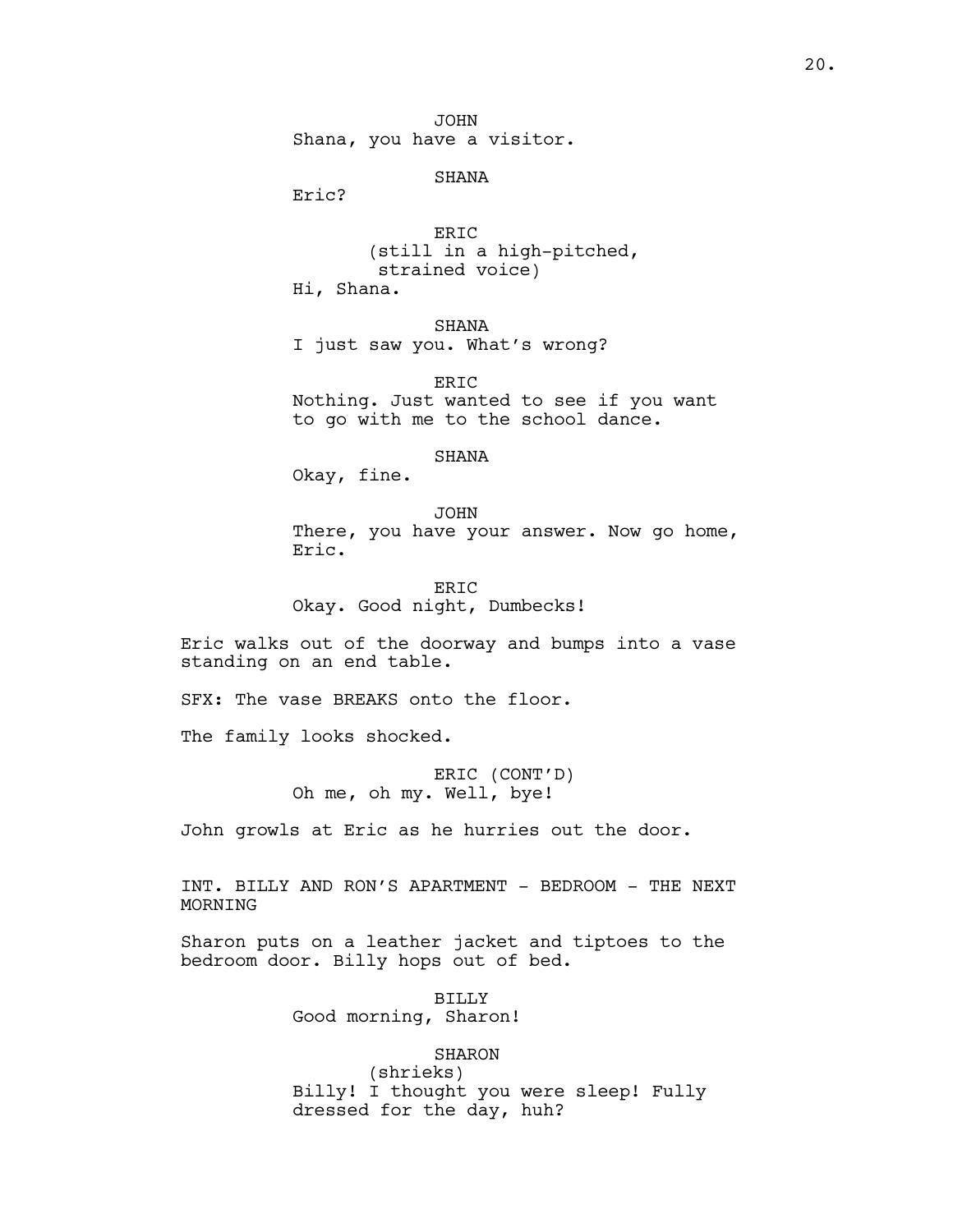JOHN Shana, you have a visitor.

### SHANA

Eric?

ERIC (still in a high-pitched, strained voice) Hi, Shana.

SHANA I just saw you. What's wrong?

ERIC Nothing. Just wanted to see if you want to go with me to the school dance.

#### SHANA

Okay, fine.

JOHN There, you have your answer. Now go home, Eric.

ERIC Okay. Good night, Dumbecks!

Eric walks out of the doorway and bumps into a vase standing on an end table.

SFX: The vase BREAKS onto the floor.

The family looks shocked.

ERIC (CONT'D) Oh me, oh my. Well, bye!

John growls at Eric as he hurries out the door.

INT. BILLY AND RON'S APARTMENT - BEDROOM - THE NEXT MORNING

Sharon puts on a leather jacket and tiptoes to the bedroom door. Billy hops out of bed.

> BILLY Good morning, Sharon!

> > SHARON

(shrieks) Billy! I thought you were sleep! Fully dressed for the day, huh?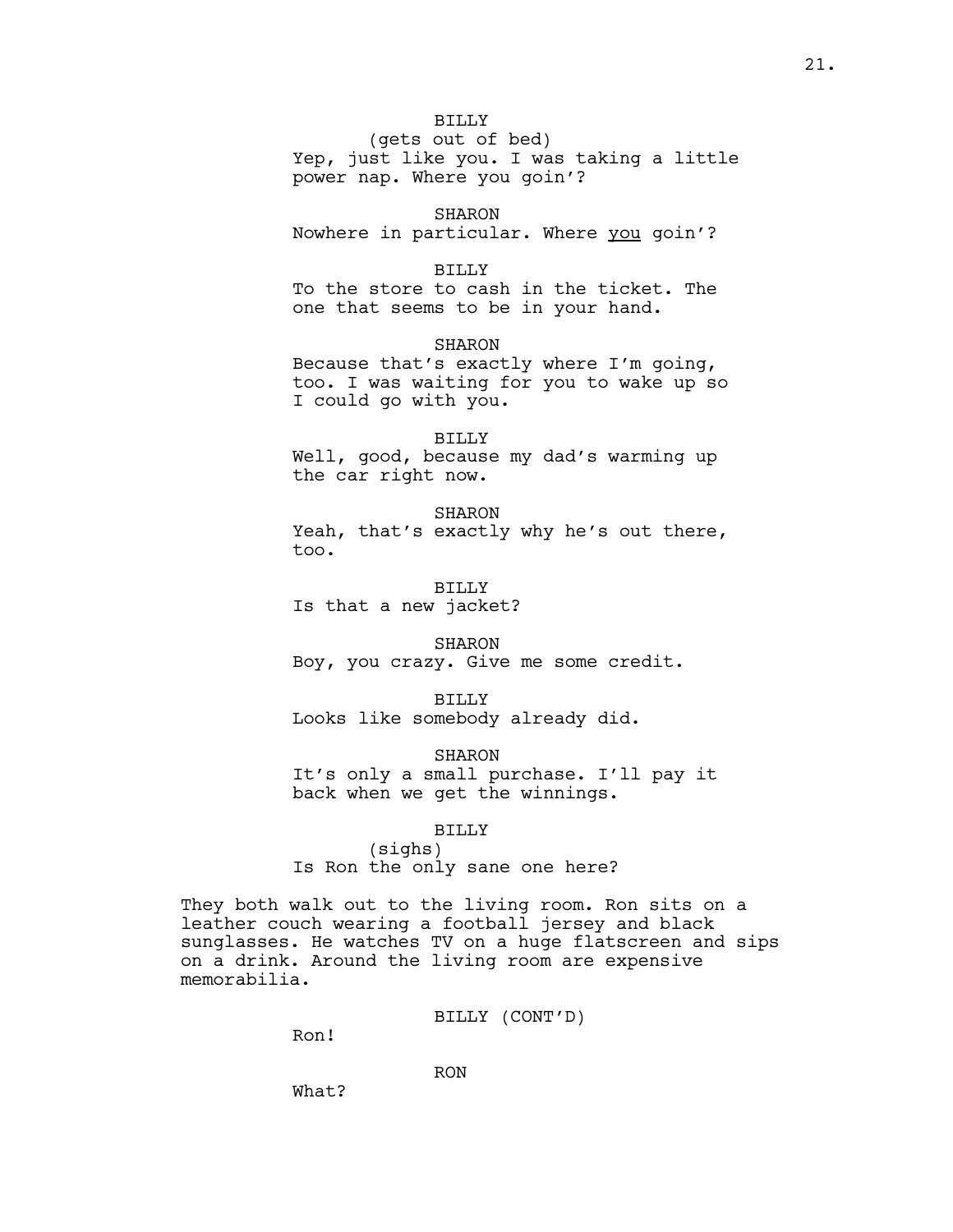# BILLY

(gets out of bed) Yep, just like you. I was taking a little power nap. Where you goin'?

# SHARON

Nowhere in particular. Where you goin'?

#### BILLY

To the store to cash in the ticket. The one that seems to be in your hand.

# SHARON

Because that's exactly where I'm going, too. I was waiting for you to wake up so I could go with you.

# BILLY

Well, good, because my dad's warming up the car right now.

#### SHARON

Yeah, that's exactly why he's out there, too.

BILLY Is that a new jacket?

SHARON Boy, you crazy. Give me some credit.

BILLY Looks like somebody already did.

SHARON It's only a small purchase. I'll pay it back when we get the winnings.

### BILLY

(sighs) Is Ron the only sane one here?

They both walk out to the living room. Ron sits on a leather couch wearing a football jersey and black sunglasses. He watches TV on a huge flatscreen and sips on a drink. Around the living room are expensive memorabilia.

BILLY (CONT'D)

Ron!

RON

What?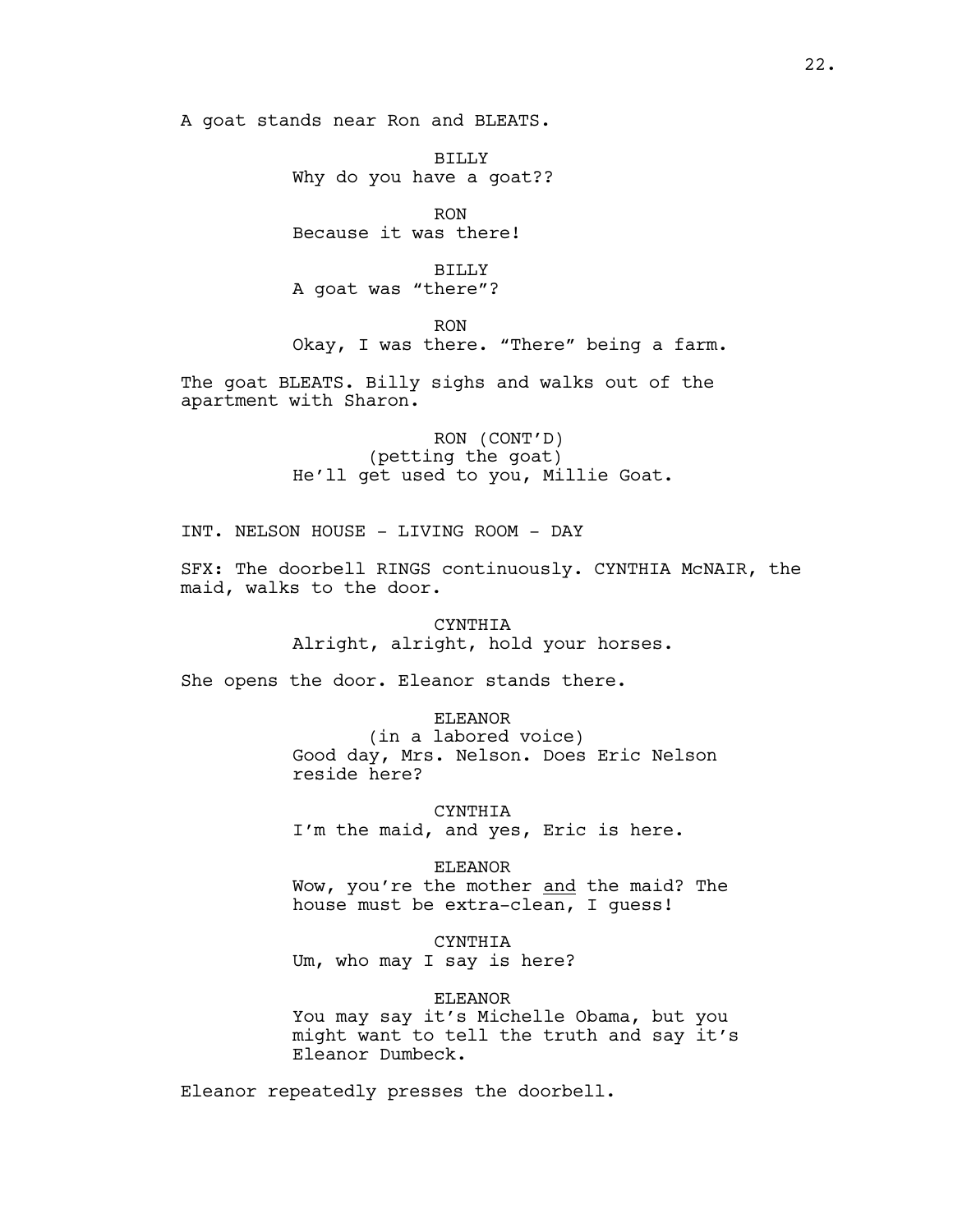A goat stands near Ron and BLEATS.

BILLY Why do you have a goat??

RON Because it was there!

BILLY A goat was "there"?

RON

Okay, I was there. "There" being a farm.

The goat BLEATS. Billy sighs and walks out of the apartment with Sharon.

> RON (CONT'D) (petting the goat) He'll get used to you, Millie Goat.

INT. NELSON HOUSE - LIVING ROOM - DAY

SFX: The doorbell RINGS continuously. CYNTHIA McNAIR, the maid, walks to the door.

> CYNTHIA Alright, alright, hold your horses.

She opens the door. Eleanor stands there.

ELEANOR

(in a labored voice) Good day, Mrs. Nelson. Does Eric Nelson reside here?

CYNTHIA I'm the maid, and yes, Eric is here.

ELEANOR Wow, you're the mother and the maid? The

house must be extra-clean, I guess!

CYNTHIA Um, who may I say is here?

ELEANOR

You may say it's Michelle Obama, but you might want to tell the truth and say it's Eleanor Dumbeck.

Eleanor repeatedly presses the doorbell.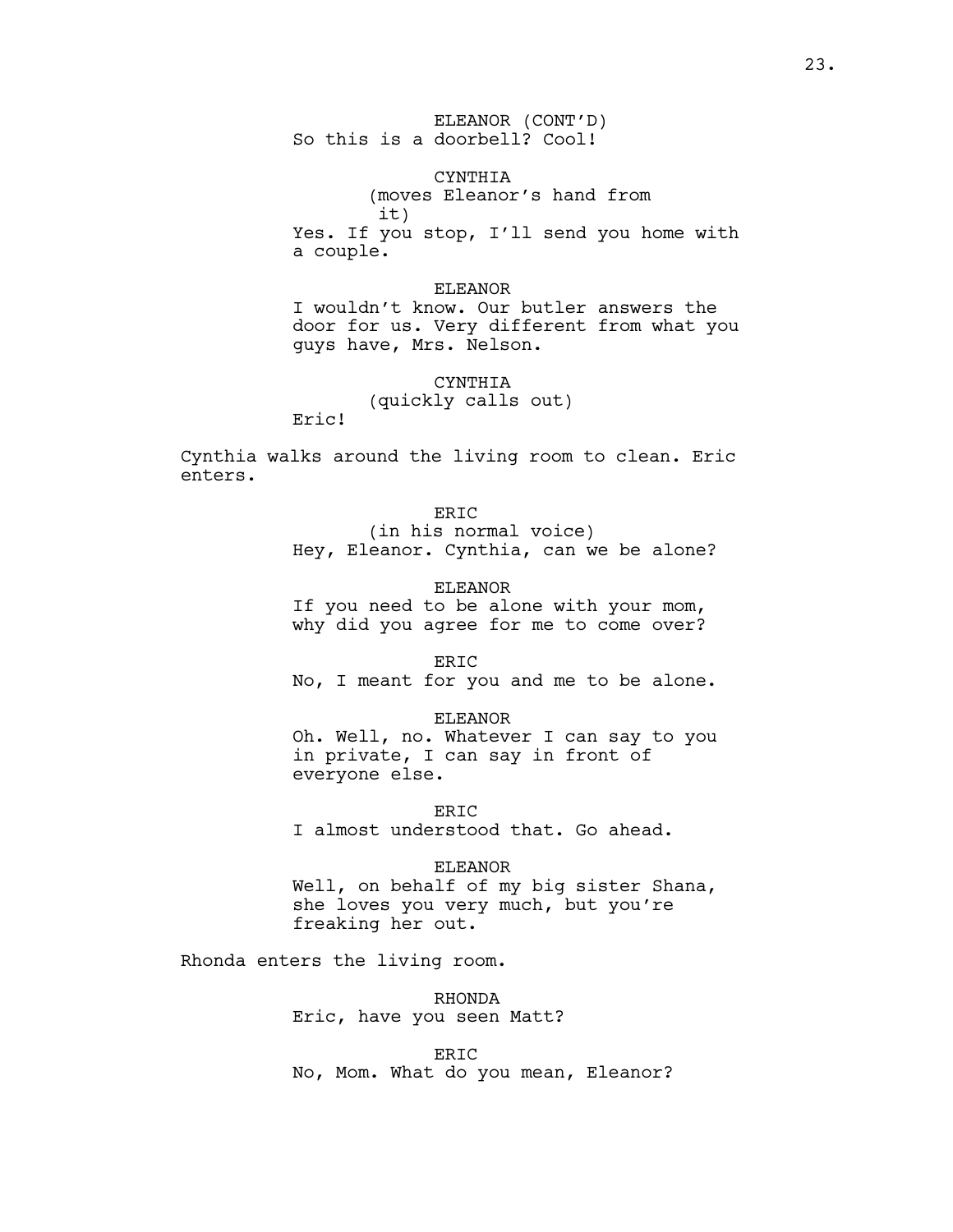ELEANOR (CONT'D) So this is a doorbell? Cool!

CYNTHIA (moves Eleanor's hand from it) Yes. If you stop, I'll send you home with a couple.

### ELEANOR

I wouldn't know. Our butler answers the door for us. Very different from what you guys have, Mrs. Nelson.

# CYNTHIA (quickly calls out)

Eric!

Cynthia walks around the living room to clean. Eric enters.

# ERIC

(in his normal voice) Hey, Eleanor. Cynthia, can we be alone?

#### ELEANOR

If you need to be alone with your mom, why did you agree for me to come over?

#### ERIC

No, I meant for you and me to be alone.

### ELEANOR

Oh. Well, no. Whatever I can say to you in private, I can say in front of everyone else.

ERIC I almost understood that. Go ahead.

### ELEANOR

Well, on behalf of my big sister Shana, she loves you very much, but you're freaking her out.

Rhonda enters the living room.

RHONDA Eric, have you seen Matt?

ERIC No, Mom. What do you mean, Eleanor?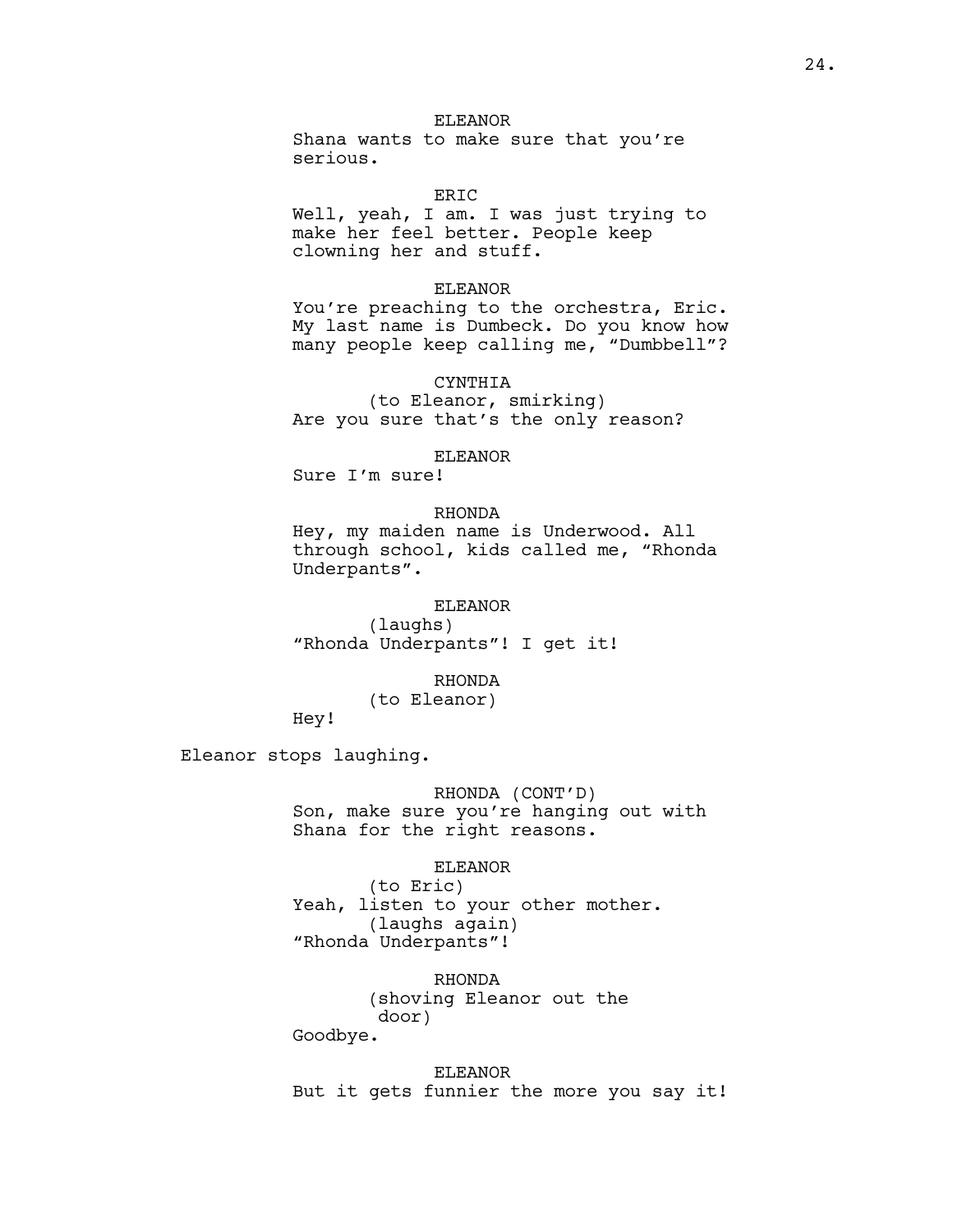Shana wants to make sure that you're serious.

ERIC

Well, yeah, I am. I was just trying to make her feel better. People keep clowning her and stuff.

### ELEANOR

You're preaching to the orchestra, Eric. My last name is Dumbeck. Do you know how many people keep calling me, "Dumbbell"?

### CYNTHIA

(to Eleanor, smirking) Are you sure that's the only reason?

#### ELEANOR

Sure I'm sure!

# RHONDA

Hey, my maiden name is Underwood. All through school, kids called me, "Rhonda Underpants".

# ELEANOR

(laughs) "Rhonda Underpants"! I get it!

### RHONDA

# (to Eleanor)

Hey!

Eleanor stops laughing.

RHONDA (CONT'D) Son, make sure you're hanging out with Shana for the right reasons.

### ELEANOR

(to Eric) Yeah, listen to your other mother. (laughs again) "Rhonda Underpants"!

RHONDA (shoving Eleanor out the door)

Goodbye.

# ELEANOR

But it gets funnier the more you say it!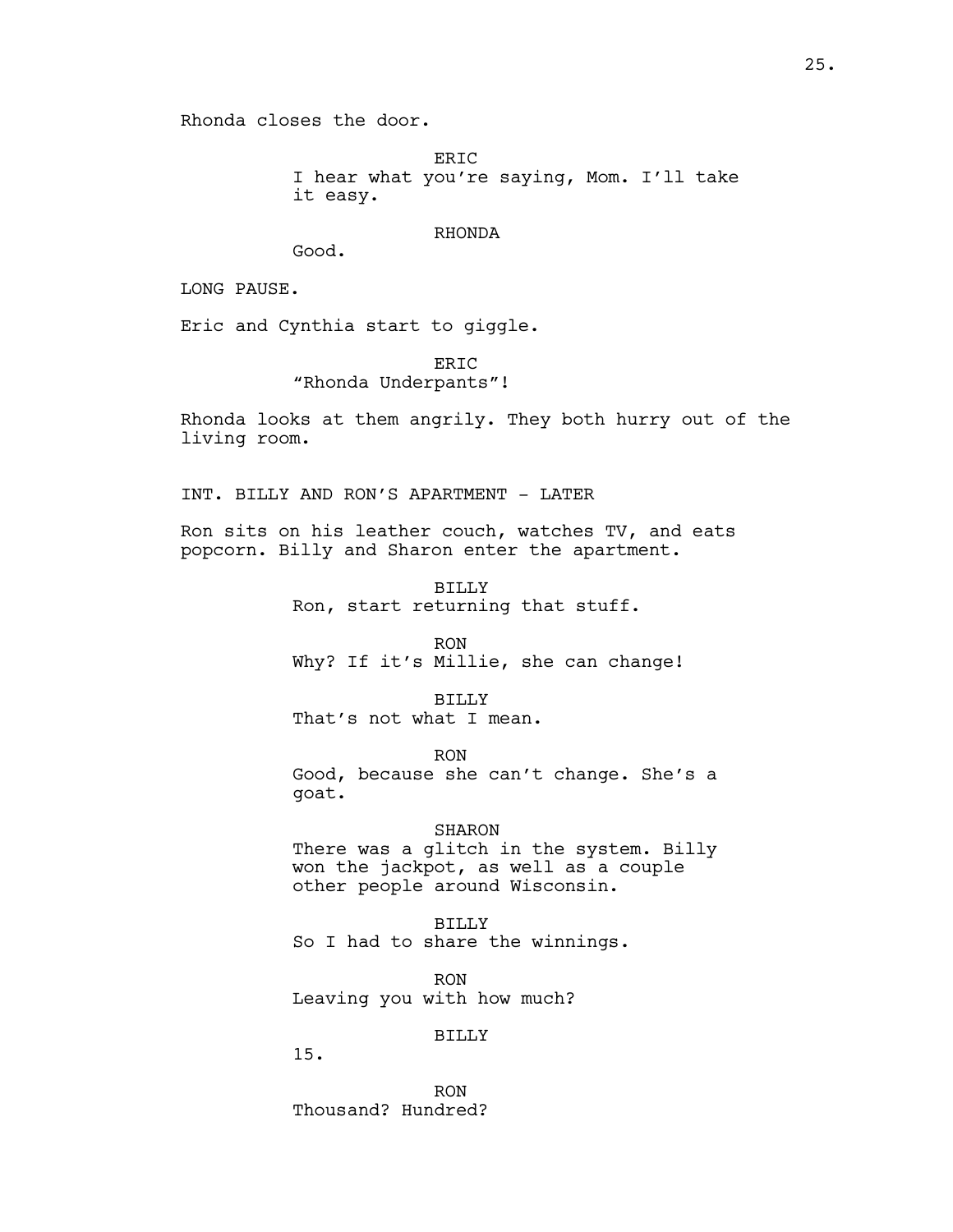Rhonda closes the door.

ERIC I hear what you're saying, Mom. I'll take it easy.

### RHONDA

Good.

LONG PAUSE.

Eric and Cynthia start to giggle.

ER<sub>IC</sub>

"Rhonda Underpants"!

Rhonda looks at them angrily. They both hurry out of the living room.

INT. BILLY AND RON'S APARTMENT - LATER

Ron sits on his leather couch, watches TV, and eats popcorn. Billy and Sharon enter the apartment.

> BILLY Ron, start returning that stuff.

RON Why? If it's Millie, she can change!

BILLY That's not what I mean.

RON Good, because she can't change. She's a goat.

### SHARON

There was a glitch in the system. Billy won the jackpot, as well as a couple other people around Wisconsin.

BILLY So I had to share the winnings.

RON Leaving you with how much?

# BILLY

15.

RON Thousand? Hundred?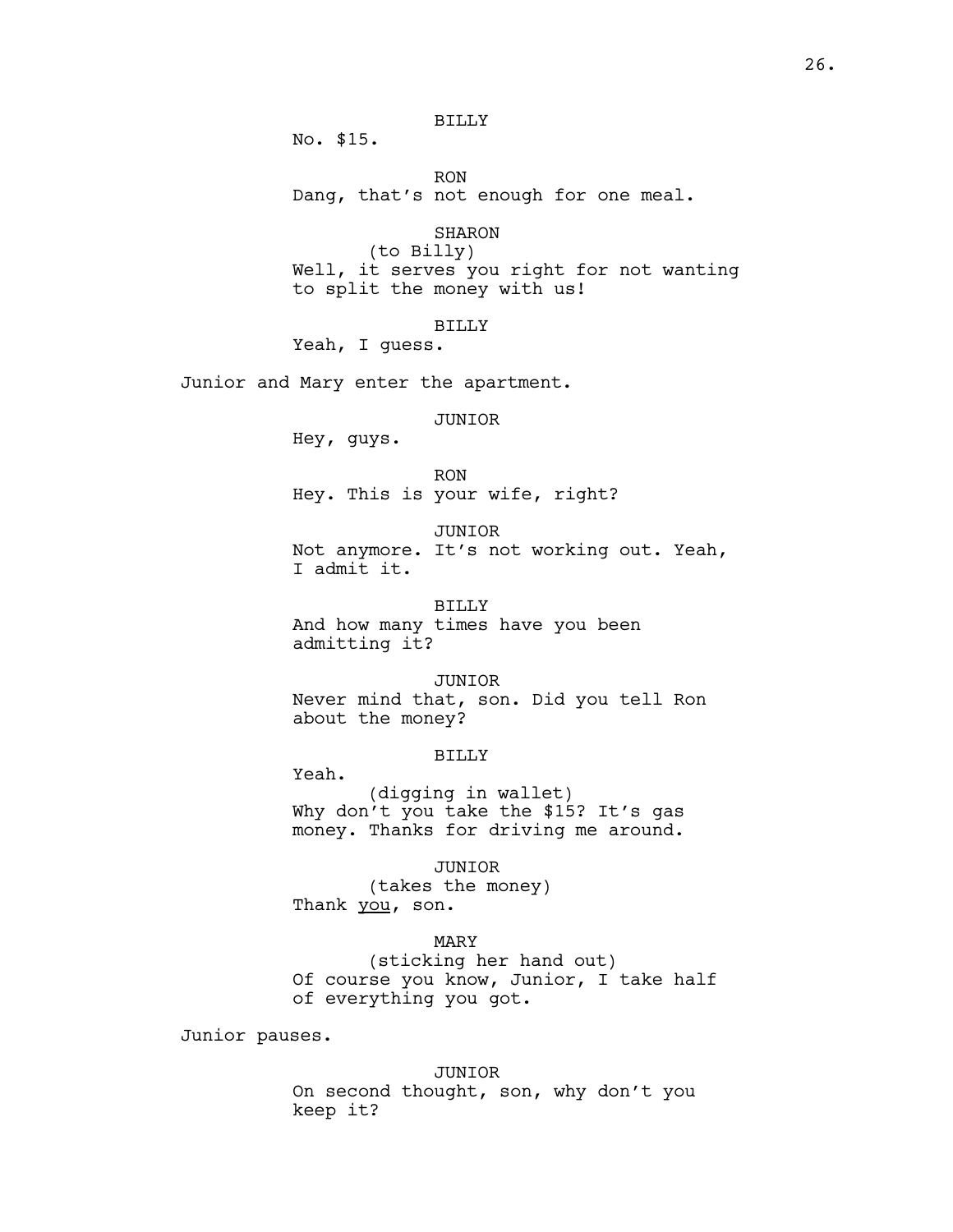# BILLY

No. \$15.

RON Dang, that's not enough for one meal.

SHARON

(to Billy)

Well, it serves you right for not wanting to split the money with us!

# BILLY

Yeah, I guess.

Junior and Mary enter the apartment.

# JUNIOR

Hey, guys.

Yeah.

# RON Hey. This is your wife, right?

JUNIOR Not anymore. It's not working out. Yeah,

I admit it.

BILLY And how many times have you been admitting it?

# JUNIOR

Never mind that, son. Did you tell Ron about the money?

# BILLY

(digging in wallet) Why don't you take the \$15? It's gas money. Thanks for driving me around.

JUNIOR

(takes the money) Thank you, son.

## MARY

(sticking her hand out) Of course you know, Junior, I take half of everything you got.

Junior pauses.

#### JUNIOR

On second thought, son, why don't you keep it?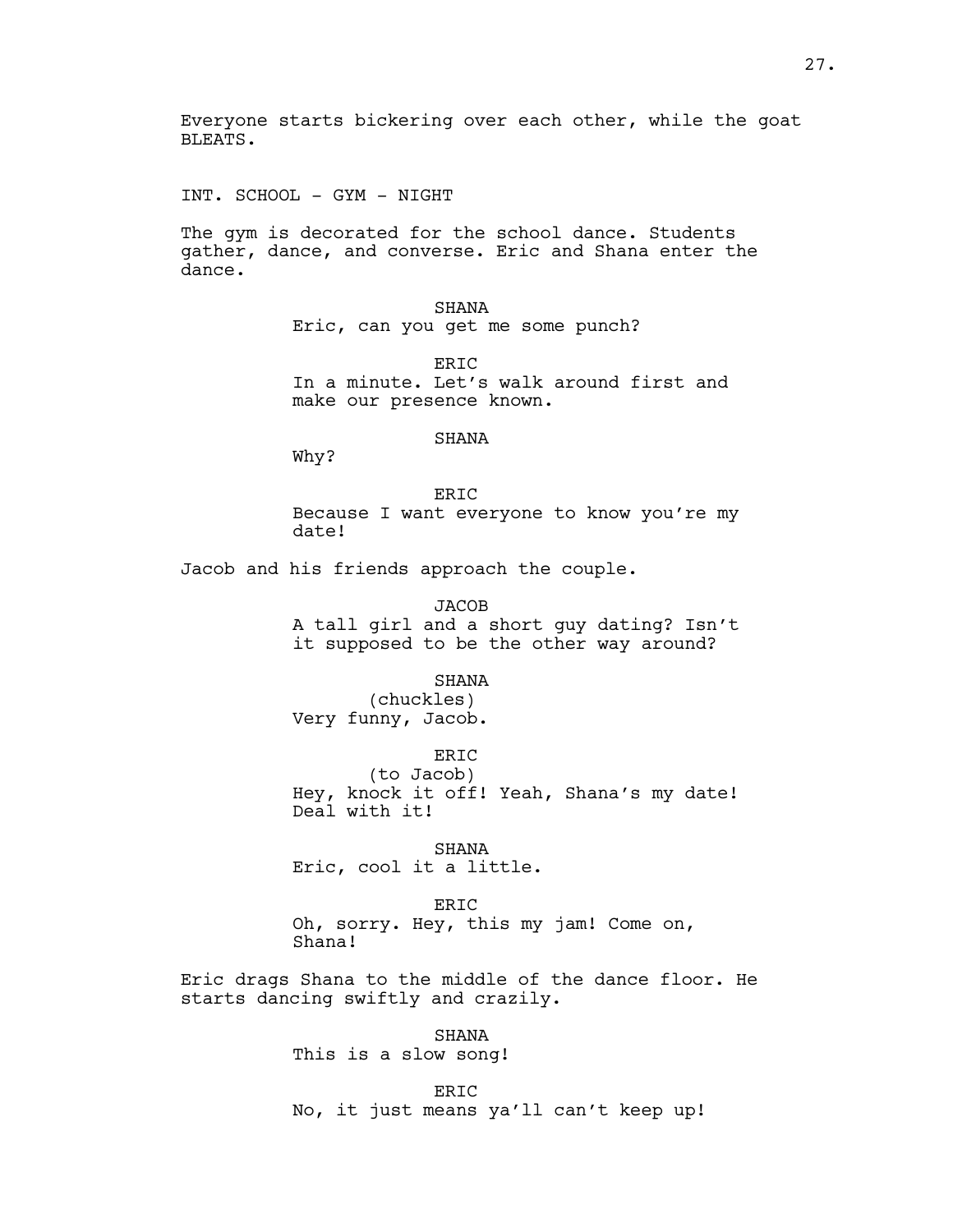Everyone starts bickering over each other, while the goat BLEATS.

INT. SCHOOL - GYM - NIGHT

The gym is decorated for the school dance. Students gather, dance, and converse. Eric and Shana enter the dance.

> SHANA Eric, can you get me some punch?

ER<sub>TC</sub> In a minute. Let's walk around first and make our presence known.

# SHANA

Why?

ER<sub>IC</sub> Because I want everyone to know you're my date!

Jacob and his friends approach the couple.

JACOB A tall girl and a short guy dating? Isn't it supposed to be the other way around?

#### SHANA

(chuckles) Very funny, Jacob.

ERIC (to Jacob) Hey, knock it off! Yeah, Shana's my date! Deal with it!

SHANA Eric, cool it a little.

ER<sub>IC</sub> Oh, sorry. Hey, this my jam! Come on, Shana!

Eric drags Shana to the middle of the dance floor. He starts dancing swiftly and crazily.

> SHANA This is a slow song!

ERIC No, it just means ya'll can't keep up!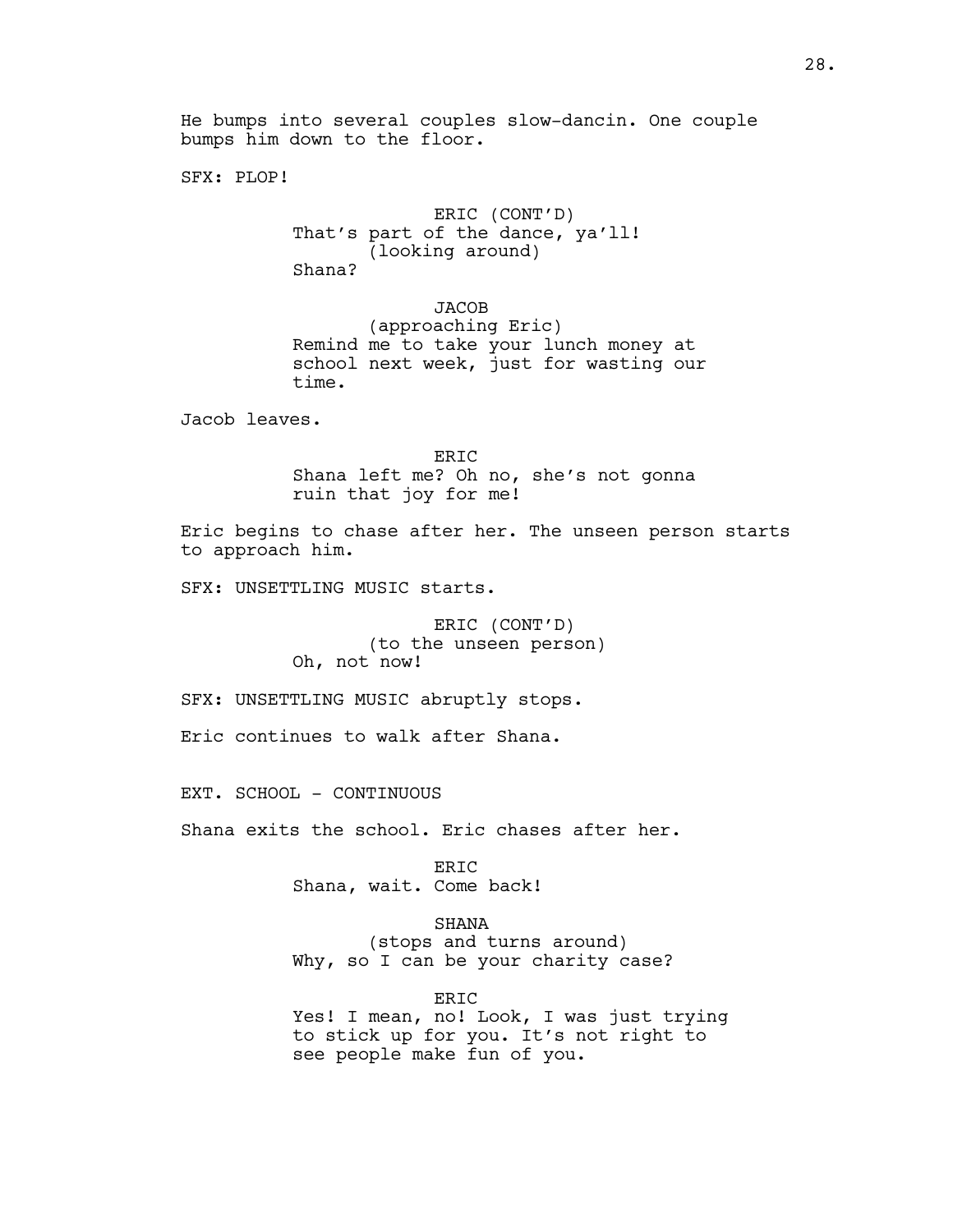SFX: PLOP!

ERIC (CONT'D) That's part of the dance, ya'll! (looking around) Shana?

JACOB

(approaching Eric) Remind me to take your lunch money at school next week, just for wasting our time.

Jacob leaves.

ERIC Shana left me? Oh no, she's not gonna ruin that joy for me!

Eric begins to chase after her. The unseen person starts to approach him.

SFX: UNSETTLING MUSIC starts.

ERIC (CONT'D) (to the unseen person) Oh, not now!

SFX: UNSETTLING MUSIC abruptly stops.

Eric continues to walk after Shana.

EXT. SCHOOL - CONTINUOUS

Shana exits the school. Eric chases after her.

ERIC Shana, wait. Come back!

SHANA

(stops and turns around) Why, so I can be your charity case?

ERIC

Yes! I mean, no! Look, I was just trying to stick up for you. It's not right to see people make fun of you.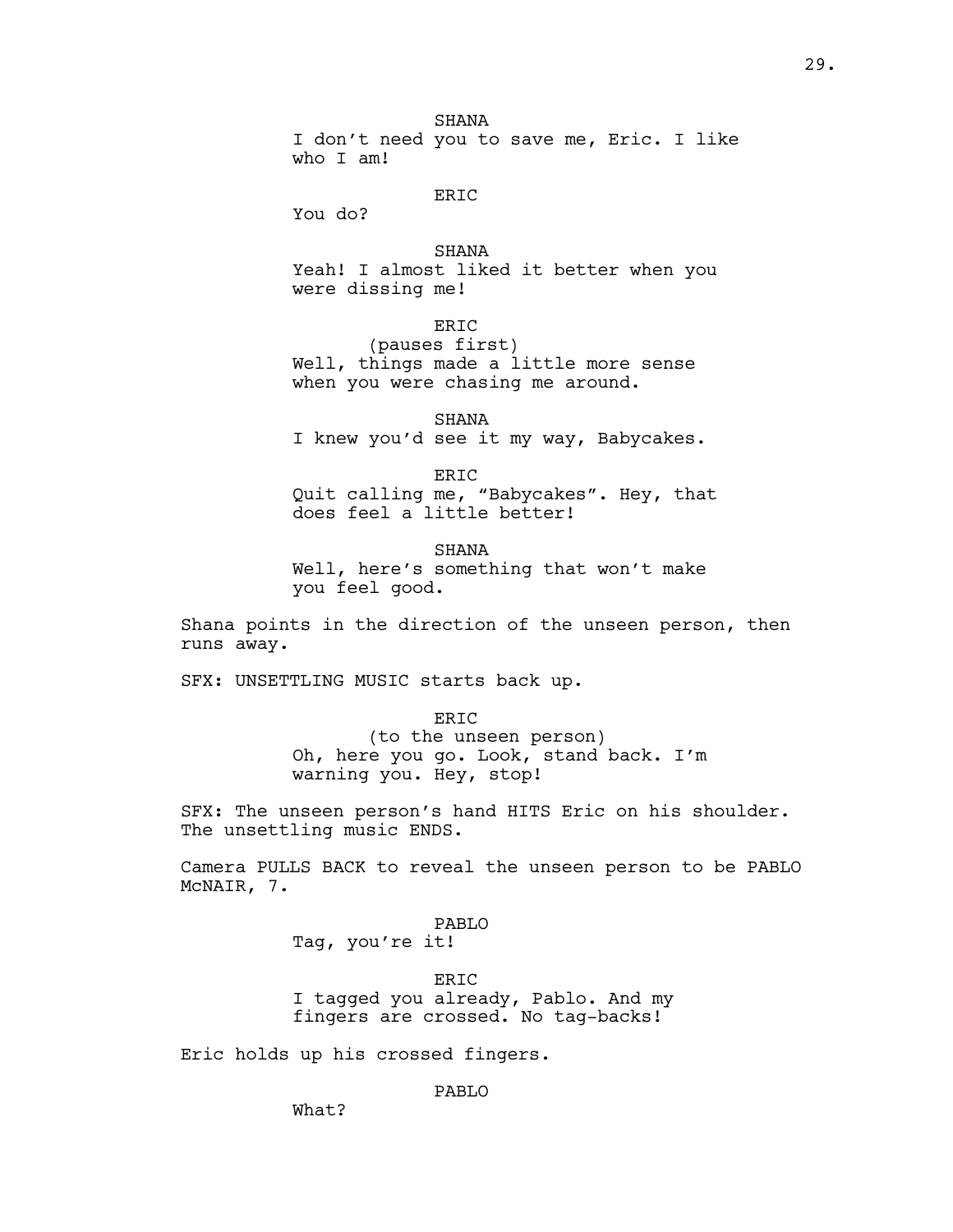**SHANA** I don't need you to save me, Eric. I like who I am!

# ERIC

You do?

### SHANA

Yeah! I almost liked it better when you were dissing me!

ERIC

(pauses first) Well, things made a little more sense when you were chasing me around.

SHANA I knew you'd see it my way, Babycakes.

ERIC Quit calling me, "Babycakes". Hey, that does feel a little better!

SHANA Well, here's something that won't make you feel good.

Shana points in the direction of the unseen person, then runs away.

SFX: UNSETTLING MUSIC starts back up.

ERIC

(to the unseen person) Oh, here you go. Look, stand back. I'm warning you. Hey, stop!

SFX: The unseen person's hand HITS Eric on his shoulder. The unsettling music ENDS.

Camera PULLS BACK to reveal the unseen person to be PABLO McNAIR, 7.

> PABLO Tag, you're it!

ERIC I tagged you already, Pablo. And my fingers are crossed. No tag-backs!

Eric holds up his crossed fingers.

PABLO

What?